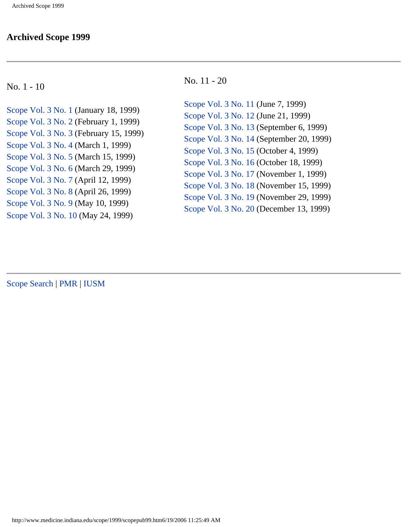#### **Archived Scope 1999**

#### No. 1 - 10

[Scope Vol. 3 No. 1](#page-1-0) (January 18, 1999) [Scope Vol. 3 No. 2](#page-6-0) (February 1, 1999) [Scope Vol. 3 No. 3](#page-11-0) (February 15, 1999) [Scope Vol. 3 No. 4](#page-16-0) (March 1, 1999) [Scope Vol. 3 No. 5](#page-21-0) (March 15, 1999) [Scope Vol. 3 No. 6](#page-26-0) (March 29, 1999) [Scope Vol. 3 No. 7](#page-31-0) (April 12, 1999) [Scope Vol. 3 No. 8](#page-35-0) (April 26, 1999) [Scope Vol. 3 No. 9](#page-40-0) (May 10, 1999) [Scope Vol. 3 No. 10](#page-45-0) (May 24, 1999)

#### No. 11 - 20

[Scope Vol. 3 No. 11](#page-50-0) (June 7, 1999) [Scope Vol. 3 No. 12](#page-54-0) (June 21, 1999) [Scope Vol. 3 No. 13](#page-60-0) (September 6, 1999) [Scope Vol. 3 No. 14](#page-65-0) (September 20, 1999) [Scope Vol. 3 No. 15](#page-70-0) (October 4, 1999) [Scope Vol. 3 No. 16](#page-76-0) (October 18, 1999) [Scope Vol. 3 No. 17](#page-81-0) (November 1, 1999) [Scope Vol. 3 No. 18](#page-86-0) (November 15, 1999) [Scope Vol. 3 No. 19](#page-91-0) (November 29, 1999) [Scope Vol. 3 No. 20](#page-95-0) (December 13, 1999)

[Scope Search](http://www.medicine.indiana.edu/scope/archscope.html) | [PMR](http://www.medicine.indiana.edu/) [| IUSM](http://www.medicine.iu.edu/home.html)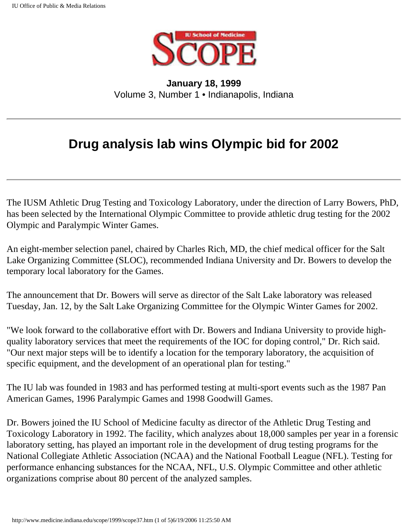

<span id="page-1-0"></span>**January 18, 1999** Volume 3, Number 1 • Indianapolis, Indiana

## **Drug analysis lab wins Olympic bid for 2002**

The IUSM Athletic Drug Testing and Toxicology Laboratory, under the direction of Larry Bowers, PhD, has been selected by the International Olympic Committee to provide athletic drug testing for the 2002 Olympic and Paralympic Winter Games.

An eight-member selection panel, chaired by Charles Rich, MD, the chief medical officer for the Salt Lake Organizing Committee (SLOC), recommended Indiana University and Dr. Bowers to develop the temporary local laboratory for the Games.

The announcement that Dr. Bowers will serve as director of the Salt Lake laboratory was released Tuesday, Jan. 12, by the Salt Lake Organizing Committee for the Olympic Winter Games for 2002.

"We look forward to the collaborative effort with Dr. Bowers and Indiana University to provide highquality laboratory services that meet the requirements of the IOC for doping control," Dr. Rich said. "Our next major steps will be to identify a location for the temporary laboratory, the acquisition of specific equipment, and the development of an operational plan for testing."

The IU lab was founded in 1983 and has performed testing at multi-sport events such as the 1987 Pan American Games, 1996 Paralympic Games and 1998 Goodwill Games.

Dr. Bowers joined the IU School of Medicine faculty as director of the Athletic Drug Testing and Toxicology Laboratory in 1992. The facility, which analyzes about 18,000 samples per year in a forensic laboratory setting, has played an important role in the development of drug testing programs for the National Collegiate Athletic Association (NCAA) and the National Football League (NFL). Testing for performance enhancing substances for the NCAA, NFL, U.S. Olympic Committee and other athletic organizations comprise about 80 percent of the analyzed samples.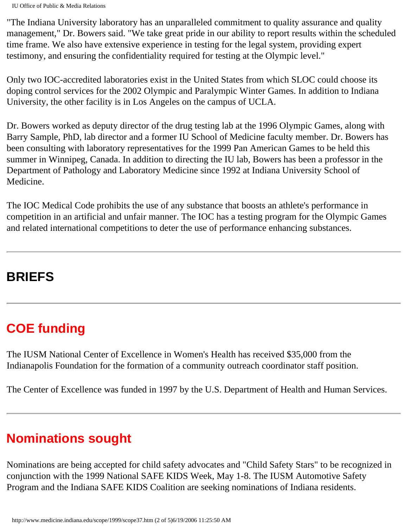"The Indiana University laboratory has an unparalleled commitment to quality assurance and quality management," Dr. Bowers said. "We take great pride in our ability to report results within the scheduled time frame. We also have extensive experience in testing for the legal system, providing expert testimony, and ensuring the confidentiality required for testing at the Olympic level."

Only two IOC-accredited laboratories exist in the United States from which SLOC could choose its doping control services for the 2002 Olympic and Paralympic Winter Games. In addition to Indiana University, the other facility is in Los Angeles on the campus of UCLA.

Dr. Bowers worked as deputy director of the drug testing lab at the 1996 Olympic Games, along with Barry Sample, PhD, lab director and a former IU School of Medicine faculty member. Dr. Bowers has been consulting with laboratory representatives for the 1999 Pan American Games to be held this summer in Winnipeg, Canada. In addition to directing the IU lab, Bowers has been a professor in the Department of Pathology and Laboratory Medicine since 1992 at Indiana University School of Medicine.

The IOC Medical Code prohibits the use of any substance that boosts an athlete's performance in competition in an artificial and unfair manner. The IOC has a testing program for the Olympic Games and related international competitions to deter the use of performance enhancing substances.

## **BRIEFS**

# **COE funding**

The IUSM National Center of Excellence in Women's Health has received \$35,000 from the Indianapolis Foundation for the formation of a community outreach coordinator staff position.

The Center of Excellence was funded in 1997 by the U.S. Department of Health and Human Services.

# **Nominations sought**

Nominations are being accepted for child safety advocates and "Child Safety Stars" to be recognized in conjunction with the 1999 National SAFE KIDS Week, May 1-8. The IUSM Automotive Safety Program and the Indiana SAFE KIDS Coalition are seeking nominations of Indiana residents.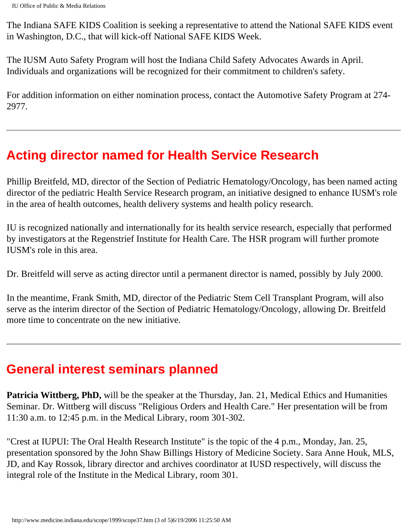The Indiana SAFE KIDS Coalition is seeking a representative to attend the National SAFE KIDS event in Washington, D.C., that will kick-off National SAFE KIDS Week.

The IUSM Auto Safety Program will host the Indiana Child Safety Advocates Awards in April. Individuals and organizations will be recognized for their commitment to children's safety.

For addition information on either nomination process, contact the Automotive Safety Program at 274- 2977.

#### **Acting director named for Health Service Research**

Phillip Breitfeld, MD, director of the Section of Pediatric Hematology/Oncology, has been named acting director of the pediatric Health Service Research program, an initiative designed to enhance IUSM's role in the area of health outcomes, health delivery systems and health policy research.

IU is recognized nationally and internationally for its health service research, especially that performed by investigators at the Regenstrief Institute for Health Care. The HSR program will further promote IUSM's role in this area.

Dr. Breitfeld will serve as acting director until a permanent director is named, possibly by July 2000.

In the meantime, Frank Smith, MD, director of the Pediatric Stem Cell Transplant Program, will also serve as the interim director of the Section of Pediatric Hematology/Oncology, allowing Dr. Breitfeld more time to concentrate on the new initiative.

### **General interest seminars planned**

**Patricia Wittberg, PhD,** will be the speaker at the Thursday, Jan. 21, Medical Ethics and Humanities Seminar. Dr. Wittberg will discuss "Religious Orders and Health Care." Her presentation will be from 11:30 a.m. to 12:45 p.m. in the Medical Library, room 301-302.

"Crest at IUPUI: The Oral Health Research Institute" is the topic of the 4 p.m., Monday, Jan. 25, presentation sponsored by the John Shaw Billings History of Medicine Society. Sara Anne Houk, MLS, JD, and Kay Rossok, library director and archives coordinator at IUSD respectively, will discuss the integral role of the Institute in the Medical Library, room 301.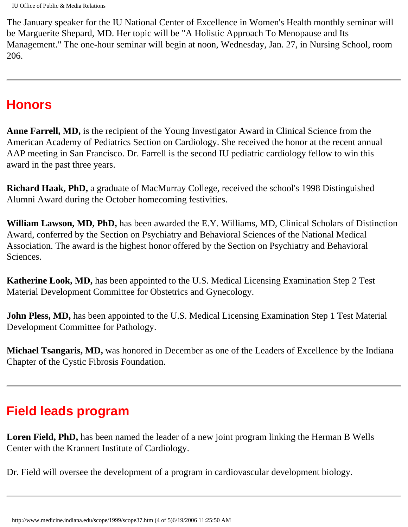The January speaker for the IU National Center of Excellence in Women's Health monthly seminar will be Marguerite Shepard, MD. Her topic will be "A Holistic Approach To Menopause and Its Management." The one-hour seminar will begin at noon, Wednesday, Jan. 27, in Nursing School, room 206.

#### **Honors**

**Anne Farrell, MD,** is the recipient of the Young Investigator Award in Clinical Science from the American Academy of Pediatrics Section on Cardiology. She received the honor at the recent annual AAP meeting in San Francisco. Dr. Farrell is the second IU pediatric cardiology fellow to win this award in the past three years.

**Richard Haak, PhD,** a graduate of MacMurray College, received the school's 1998 Distinguished Alumni Award during the October homecoming festivities.

**William Lawson, MD, PhD,** has been awarded the E.Y. Williams, MD, Clinical Scholars of Distinction Award, conferred by the Section on Psychiatry and Behavioral Sciences of the National Medical Association. The award is the highest honor offered by the Section on Psychiatry and Behavioral Sciences.

**Katherine Look, MD,** has been appointed to the U.S. Medical Licensing Examination Step 2 Test Material Development Committee for Obstetrics and Gynecology.

**John Pless, MD,** has been appointed to the U.S. Medical Licensing Examination Step 1 Test Material Development Committee for Pathology.

**Michael Tsangaris, MD,** was honored in December as one of the Leaders of Excellence by the Indiana Chapter of the Cystic Fibrosis Foundation.

## **Field leads program**

**Loren Field, PhD,** has been named the leader of a new joint program linking the Herman B Wells Center with the Krannert Institute of Cardiology.

Dr. Field will oversee the development of a program in cardiovascular development biology.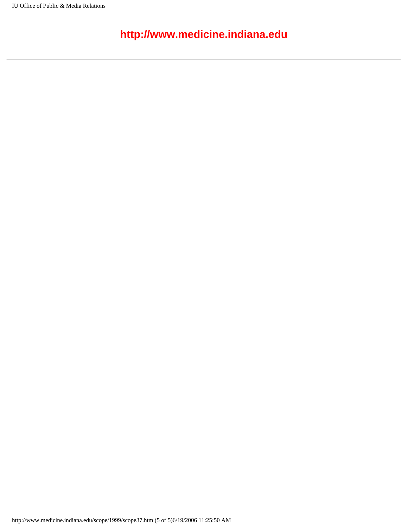#### **http://www.medicine.indiana.edu**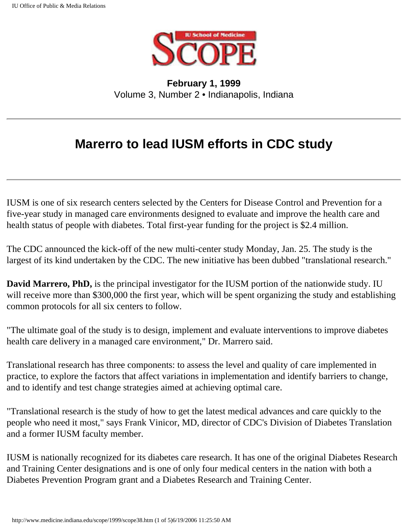

<span id="page-6-0"></span>**February 1, 1999** Volume 3, Number 2 • Indianapolis, Indiana

## **Marerro to lead IUSM efforts in CDC study**

IUSM is one of six research centers selected by the Centers for Disease Control and Prevention for a five-year study in managed care environments designed to evaluate and improve the health care and health status of people with diabetes. Total first-year funding for the project is \$2.4 million.

The CDC announced the kick-off of the new multi-center study Monday, Jan. 25. The study is the largest of its kind undertaken by the CDC. The new initiative has been dubbed "translational research."

**David Marrero, PhD,** is the principal investigator for the IUSM portion of the nationwide study. IU will receive more than \$300,000 the first year, which will be spent organizing the study and establishing common protocols for all six centers to follow.

"The ultimate goal of the study is to design, implement and evaluate interventions to improve diabetes health care delivery in a managed care environment," Dr. Marrero said.

Translational research has three components: to assess the level and quality of care implemented in practice, to explore the factors that affect variations in implementation and identify barriers to change, and to identify and test change strategies aimed at achieving optimal care.

"Translational research is the study of how to get the latest medical advances and care quickly to the people who need it most," says Frank Vinicor, MD, director of CDC's Division of Diabetes Translation and a former IUSM faculty member.

IUSM is nationally recognized for its diabetes care research. It has one of the original Diabetes Research and Training Center designations and is one of only four medical centers in the nation with both a Diabetes Prevention Program grant and a Diabetes Research and Training Center.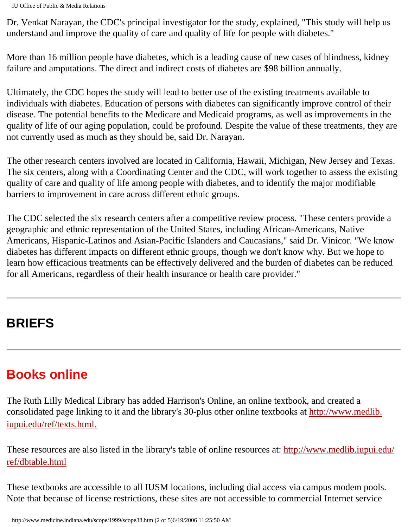Dr. Venkat Narayan, the CDC's principal investigator for the study, explained, "This study will help us understand and improve the quality of care and quality of life for people with diabetes."

More than 16 million people have diabetes, which is a leading cause of new cases of blindness, kidney failure and amputations. The direct and indirect costs of diabetes are \$98 billion annually.

Ultimately, the CDC hopes the study will lead to better use of the existing treatments available to individuals with diabetes. Education of persons with diabetes can significantly improve control of their disease. The potential benefits to the Medicare and Medicaid programs, as well as improvements in the quality of life of our aging population, could be profound. Despite the value of these treatments, they are not currently used as much as they should be, said Dr. Narayan.

The other research centers involved are located in California, Hawaii, Michigan, New Jersey and Texas. The six centers, along with a Coordinating Center and the CDC, will work together to assess the existing quality of care and quality of life among people with diabetes, and to identify the major modifiable barriers to improvement in care across different ethnic groups.

The CDC selected the six research centers after a competitive review process. "These centers provide a geographic and ethnic representation of the United States, including African-Americans, Native Americans, Hispanic-Latinos and Asian-Pacific Islanders and Caucasians," said Dr. Vinicor. "We know diabetes has different impacts on different ethnic groups, though we don't know why. But we hope to learn how efficacious treatments can be effectively delivered and the burden of diabetes can be reduced for all Americans, regardless of their health insurance or health care provider."

# **BRIEFS**

## **Books online**

The Ruth Lilly Medical Library has added Harrison's Online, an online textbook, and created a consolidated page linking to it and the library's 30-plus other online textbooks at [http://www.medlib.](http://www.medlib.iupui.edu/ref/texts.html) [iupui.edu/ref/texts.html.](http://www.medlib.iupui.edu/ref/texts.html)

These resources are also listed in the library's table of online resources at: [http://www.medlib.iupui.edu/](http://www.medlib.iupui.edu/ref/dbtable.html) [ref/dbtable.html](http://www.medlib.iupui.edu/ref/dbtable.html)

These textbooks are accessible to all IUSM locations, including dial access via campus modem pools. Note that because of license restrictions, these sites are not accessible to commercial Internet service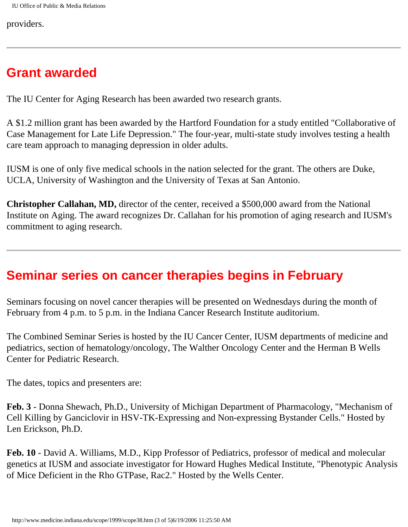providers.

#### **Grant awarded**

The IU Center for Aging Research has been awarded two research grants.

A \$1.2 million grant has been awarded by the Hartford Foundation for a study entitled "Collaborative of Case Management for Late Life Depression." The four-year, multi-state study involves testing a health care team approach to managing depression in older adults.

IUSM is one of only five medical schools in the nation selected for the grant. The others are Duke, UCLA, University of Washington and the University of Texas at San Antonio.

**Christopher Callahan, MD,** director of the center, received a \$500,000 award from the National Institute on Aging. The award recognizes Dr. Callahan for his promotion of aging research and IUSM's commitment to aging research.

## **Seminar series on cancer therapies begins in February**

Seminars focusing on novel cancer therapies will be presented on Wednesdays during the month of February from 4 p.m. to 5 p.m. in the Indiana Cancer Research Institute auditorium.

The Combined Seminar Series is hosted by the IU Cancer Center, IUSM departments of medicine and pediatrics, section of hematology/oncology, The Walther Oncology Center and the Herman B Wells Center for Pediatric Research.

The dates, topics and presenters are:

**Feb. 3** - Donna Shewach, Ph.D., University of Michigan Department of Pharmacology, "Mechanism of Cell Killing by Ganciclovir in HSV-TK-Expressing and Non-expressing Bystander Cells." Hosted by Len Erickson, Ph.D.

**Feb. 10** - David A. Williams, M.D., Kipp Professor of Pediatrics, professor of medical and molecular genetics at IUSM and associate investigator for Howard Hughes Medical Institute, "Phenotypic Analysis of Mice Deficient in the Rho GTPase, Rac2." Hosted by the Wells Center.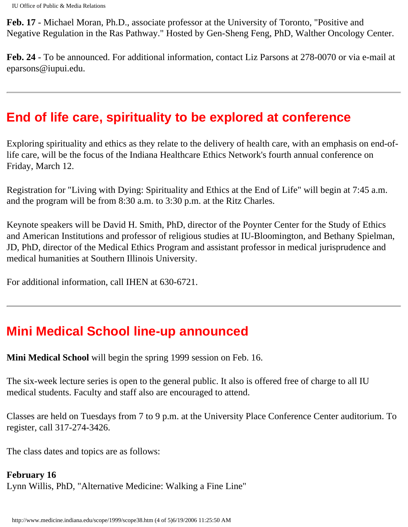**Feb. 17** - Michael Moran, Ph.D., associate professor at the University of Toronto, "Positive and Negative Regulation in the Ras Pathway." Hosted by Gen-Sheng Feng, PhD, Walther Oncology Center.

**Feb. 24** - To be announced. For additional information, contact Liz Parsons at 278-0070 or via e-mail at eparsons@iupui.edu.

### **End of life care, spirituality to be explored at conference**

Exploring spirituality and ethics as they relate to the delivery of health care, with an emphasis on end-oflife care, will be the focus of the Indiana Healthcare Ethics Network's fourth annual conference on Friday, March 12.

Registration for "Living with Dying: Spirituality and Ethics at the End of Life" will begin at 7:45 a.m. and the program will be from 8:30 a.m. to 3:30 p.m. at the Ritz Charles.

Keynote speakers will be David H. Smith, PhD, director of the Poynter Center for the Study of Ethics and American Institutions and professor of religious studies at IU-Bloomington, and Bethany Spielman, JD, PhD, director of the Medical Ethics Program and assistant professor in medical jurisprudence and medical humanities at Southern Illinois University.

For additional information, call IHEN at 630-6721.

## **Mini Medical School line-up announced**

**Mini Medical School** will begin the spring 1999 session on Feb. 16.

The six-week lecture series is open to the general public. It also is offered free of charge to all IU medical students. Faculty and staff also are encouraged to attend.

Classes are held on Tuesdays from 7 to 9 p.m. at the University Place Conference Center auditorium. To register, call 317-274-3426.

The class dates and topics are as follows:

#### **February 16**

Lynn Willis, PhD, "Alternative Medicine: Walking a Fine Line"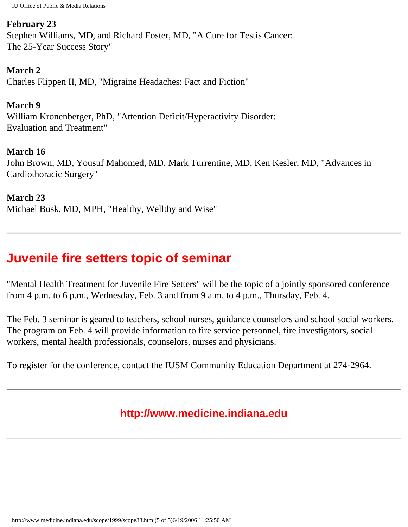#### **February 23**

Stephen Williams, MD, and Richard Foster, MD, "A Cure for Testis Cancer: The 25-Year Success Story"

#### **March 2**

Charles Flippen II, MD, "Migraine Headaches: Fact and Fiction"

#### **March 9**

William Kronenberger, PhD, "Attention Deficit/Hyperactivity Disorder: Evaluation and Treatment"

#### **March 16**

John Brown, MD, Yousuf Mahomed, MD, Mark Turrentine, MD, Ken Kesler, MD, "Advances in Cardiothoracic Surgery"

#### **March 23**

Michael Busk, MD, MPH, "Healthy, Wellthy and Wise"

#### **Juvenile fire setters topic of seminar**

"Mental Health Treatment for Juvenile Fire Setters" will be the topic of a jointly sponsored conference from 4 p.m. to 6 p.m., Wednesday, Feb. 3 and from 9 a.m. to 4 p.m., Thursday, Feb. 4.

The Feb. 3 seminar is geared to teachers, school nurses, guidance counselors and school social workers. The program on Feb. 4 will provide information to fire service personnel, fire investigators, social workers, mental health professionals, counselors, nurses and physicians.

To register for the conference, contact the IUSM Community Education Department at 274-2964.

#### **http://www.medicine.indiana.edu**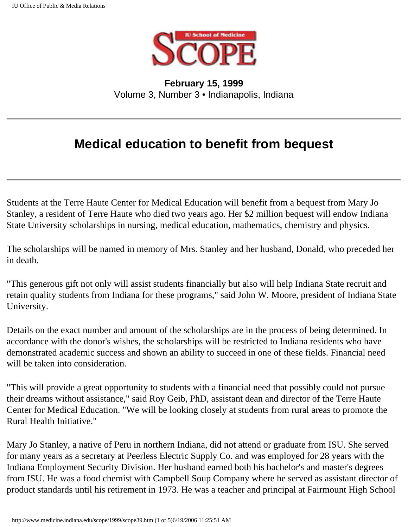

<span id="page-11-0"></span>**February 15, 1999** Volume 3, Number 3 • Indianapolis, Indiana

## **Medical education to benefit from bequest**

Students at the Terre Haute Center for Medical Education will benefit from a bequest from Mary Jo Stanley, a resident of Terre Haute who died two years ago. Her \$2 million bequest will endow Indiana State University scholarships in nursing, medical education, mathematics, chemistry and physics.

The scholarships will be named in memory of Mrs. Stanley and her husband, Donald, who preceded her in death.

"This generous gift not only will assist students financially but also will help Indiana State recruit and retain quality students from Indiana for these programs," said John W. Moore, president of Indiana State University.

Details on the exact number and amount of the scholarships are in the process of being determined. In accordance with the donor's wishes, the scholarships will be restricted to Indiana residents who have demonstrated academic success and shown an ability to succeed in one of these fields. Financial need will be taken into consideration.

"This will provide a great opportunity to students with a financial need that possibly could not pursue their dreams without assistance," said Roy Geib, PhD, assistant dean and director of the Terre Haute Center for Medical Education. "We will be looking closely at students from rural areas to promote the Rural Health Initiative."

Mary Jo Stanley, a native of Peru in northern Indiana, did not attend or graduate from ISU. She served for many years as a secretary at Peerless Electric Supply Co. and was employed for 28 years with the Indiana Employment Security Division. Her husband earned both his bachelor's and master's degrees from ISU. He was a food chemist with Campbell Soup Company where he served as assistant director of product standards until his retirement in 1973. He was a teacher and principal at Fairmount High School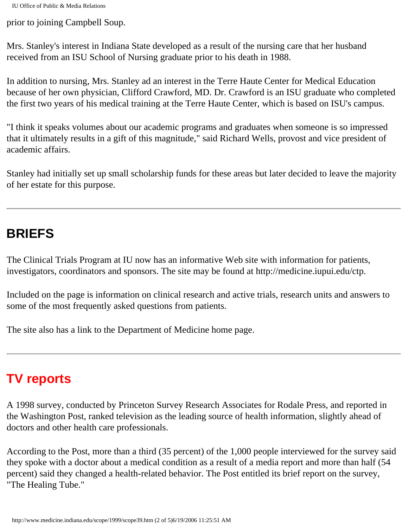prior to joining Campbell Soup.

Mrs. Stanley's interest in Indiana State developed as a result of the nursing care that her husband received from an ISU School of Nursing graduate prior to his death in 1988.

In addition to nursing, Mrs. Stanley ad an interest in the Terre Haute Center for Medical Education because of her own physician, Clifford Crawford, MD. Dr. Crawford is an ISU graduate who completed the first two years of his medical training at the Terre Haute Center, which is based on ISU's campus.

"I think it speaks volumes about our academic programs and graduates when someone is so impressed that it ultimately results in a gift of this magnitude," said Richard Wells, provost and vice president of academic affairs.

Stanley had initially set up small scholarship funds for these areas but later decided to leave the majority of her estate for this purpose.

## **BRIEFS**

The Clinical Trials Program at IU now has an informative Web site with information for patients, investigators, coordinators and sponsors. The site may be found at http://medicine.iupui.edu/ctp.

Included on the page is information on clinical research and active trials, research units and answers to some of the most frequently asked questions from patients.

The site also has a link to the Department of Medicine home page.

# **TV reports**

A 1998 survey, conducted by Princeton Survey Research Associates for Rodale Press, and reported in the Washington Post, ranked television as the leading source of health information, slightly ahead of doctors and other health care professionals.

According to the Post, more than a third (35 percent) of the 1,000 people interviewed for the survey said they spoke with a doctor about a medical condition as a result of a media report and more than half (54 percent) said they changed a health-related behavior. The Post entitled its brief report on the survey, "The Healing Tube."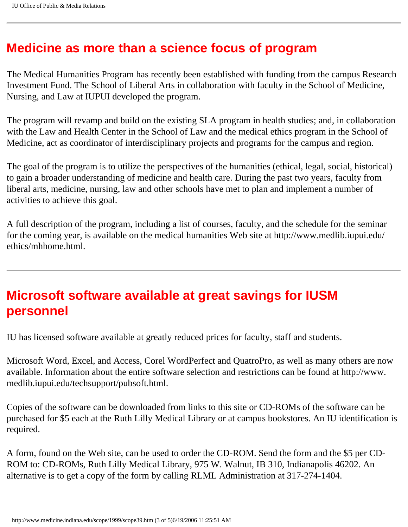#### **Medicine as more than a science focus of program**

The Medical Humanities Program has recently been established with funding from the campus Research Investment Fund. The School of Liberal Arts in collaboration with faculty in the School of Medicine, Nursing, and Law at IUPUI developed the program.

The program will revamp and build on the existing SLA program in health studies; and, in collaboration with the Law and Health Center in the School of Law and the medical ethics program in the School of Medicine, act as coordinator of interdisciplinary projects and programs for the campus and region.

The goal of the program is to utilize the perspectives of the humanities (ethical, legal, social, historical) to gain a broader understanding of medicine and health care. During the past two years, faculty from liberal arts, medicine, nursing, law and other schools have met to plan and implement a number of activities to achieve this goal.

A full description of the program, including a list of courses, faculty, and the schedule for the seminar for the coming year, is available on the medical humanities Web site at http://www.medlib.iupui.edu/ ethics/mhhome.html.

### **Microsoft software available at great savings for IUSM personnel**

IU has licensed software available at greatly reduced prices for faculty, staff and students.

Microsoft Word, Excel, and Access, Corel WordPerfect and QuatroPro, as well as many others are now available. Information about the entire software selection and restrictions can be found at http://www. medlib.iupui.edu/techsupport/pubsoft.html.

Copies of the software can be downloaded from links to this site or CD-ROMs of the software can be purchased for \$5 each at the Ruth Lilly Medical Library or at campus bookstores. An IU identification is required.

A form, found on the Web site, can be used to order the CD-ROM. Send the form and the \$5 per CD-ROM to: CD-ROMs, Ruth Lilly Medical Library, 975 W. Walnut, IB 310, Indianapolis 46202. An alternative is to get a copy of the form by calling RLML Administration at 317-274-1404.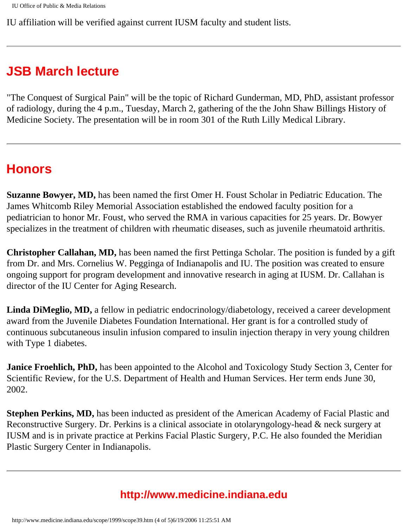IU affiliation will be verified against current IUSM faculty and student lists.

## **JSB March lecture**

"The Conquest of Surgical Pain" will be the topic of Richard Gunderman, MD, PhD, assistant professor of radiology, during the 4 p.m., Tuesday, March 2, gathering of the the John Shaw Billings History of Medicine Society. The presentation will be in room 301 of the Ruth Lilly Medical Library.

#### **Honors**

**Suzanne Bowyer, MD,** has been named the first Omer H. Foust Scholar in Pediatric Education. The James Whitcomb Riley Memorial Association established the endowed faculty position for a pediatrician to honor Mr. Foust, who served the RMA in various capacities for 25 years. Dr. Bowyer specializes in the treatment of children with rheumatic diseases, such as juvenile rheumatoid arthritis.

**Christopher Callahan, MD,** has been named the first Pettinga Scholar. The position is funded by a gift from Dr. and Mrs. Cornelius W. Pegginga of Indianapolis and IU. The position was created to ensure ongoing support for program development and innovative research in aging at IUSM. Dr. Callahan is director of the IU Center for Aging Research.

**Linda DiMeglio, MD,** a fellow in pediatric endocrinology/diabetology, received a career development award from the Juvenile Diabetes Foundation International. Her grant is for a controlled study of continuous subcutaneous insulin infusion compared to insulin injection therapy in very young children with Type 1 diabetes.

**Janice Froehlich, PhD,** has been appointed to the Alcohol and Toxicology Study Section 3, Center for Scientific Review, for the U.S. Department of Health and Human Services. Her term ends June 30, 2002.

**Stephen Perkins, MD,** has been inducted as president of the American Academy of Facial Plastic and Reconstructive Surgery. Dr. Perkins is a clinical associate in otolaryngology-head & neck surgery at IUSM and is in private practice at Perkins Facial Plastic Surgery, P.C. He also founded the Meridian Plastic Surgery Center in Indianapolis.

#### **http://www.medicine.indiana.edu**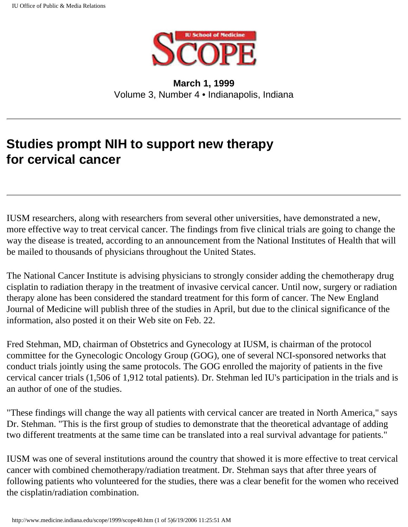

**March 1, 1999** Volume 3, Number 4 • Indianapolis, Indiana

## <span id="page-16-0"></span>**Studies prompt NIH to support new therapy for cervical cancer**

IUSM researchers, along with researchers from several other universities, have demonstrated a new, more effective way to treat cervical cancer. The findings from five clinical trials are going to change the way the disease is treated, according to an announcement from the National Institutes of Health that will be mailed to thousands of physicians throughout the United States.

The National Cancer Institute is advising physicians to strongly consider adding the chemotherapy drug cisplatin to radiation therapy in the treatment of invasive cervical cancer. Until now, surgery or radiation therapy alone has been considered the standard treatment for this form of cancer. The New England Journal of Medicine will publish three of the studies in April, but due to the clinical significance of the information, also posted it on their Web site on Feb. 22.

Fred Stehman, MD, chairman of Obstetrics and Gynecology at IUSM, is chairman of the protocol committee for the Gynecologic Oncology Group (GOG), one of several NCI-sponsored networks that conduct trials jointly using the same protocols. The GOG enrolled the majority of patients in the five cervical cancer trials (1,506 of 1,912 total patients). Dr. Stehman led IU's participation in the trials and is an author of one of the studies.

"These findings will change the way all patients with cervical cancer are treated in North America," says Dr. Stehman. "This is the first group of studies to demonstrate that the theoretical advantage of adding two different treatments at the same time can be translated into a real survival advantage for patients."

IUSM was one of several institutions around the country that showed it is more effective to treat cervical cancer with combined chemotherapy/radiation treatment. Dr. Stehman says that after three years of following patients who volunteered for the studies, there was a clear benefit for the women who received the cisplatin/radiation combination.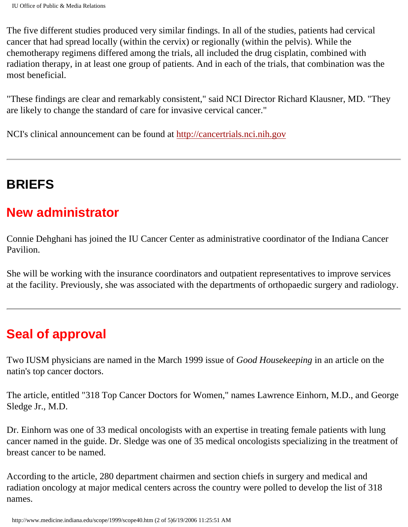The five different studies produced very similar findings. In all of the studies, patients had cervical cancer that had spread locally (within the cervix) or regionally (within the pelvis). While the chemotherapy regimens differed among the trials, all included the drug cisplatin, combined with radiation therapy, in at least one group of patients. And in each of the trials, that combination was the most beneficial.

"These findings are clear and remarkably consistent," said NCI Director Richard Klausner, MD. "They are likely to change the standard of care for invasive cervical cancer."

NCI's clinical announcement can be found at [http://cancertrials.nci.nih.gov](http://cancertrials.nci.nih.gov/)

## **BRIEFS**

#### **New administrator**

Connie Dehghani has joined the IU Cancer Center as administrative coordinator of the Indiana Cancer Pavilion.

She will be working with the insurance coordinators and outpatient representatives to improve services at the facility. Previously, she was associated with the departments of orthopaedic surgery and radiology.

## **Seal of approval**

Two IUSM physicians are named in the March 1999 issue of *Good Housekeeping* in an article on the natin's top cancer doctors.

The article, entitled "318 Top Cancer Doctors for Women," names Lawrence Einhorn, M.D., and George Sledge Jr., M.D.

Dr. Einhorn was one of 33 medical oncologists with an expertise in treating female patients with lung cancer named in the guide. Dr. Sledge was one of 35 medical oncologists specializing in the treatment of breast cancer to be named.

According to the article, 280 department chairmen and section chiefs in surgery and medical and radiation oncology at major medical centers across the country were polled to develop the list of 318 names.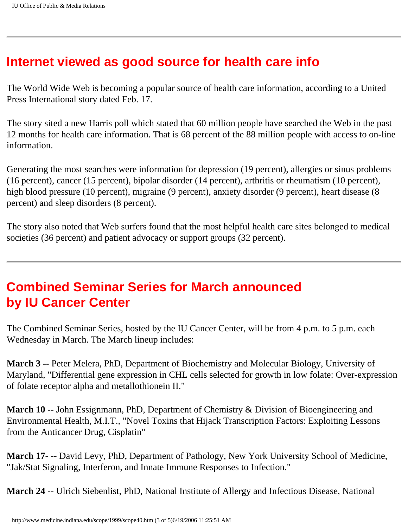#### **Internet viewed as good source for health care info**

The World Wide Web is becoming a popular source of health care information, according to a United Press International story dated Feb. 17.

The story sited a new Harris poll which stated that 60 million people have searched the Web in the past 12 months for health care information. That is 68 percent of the 88 million people with access to on-line information.

Generating the most searches were information for depression (19 percent), allergies or sinus problems (16 percent), cancer (15 percent), bipolar disorder (14 percent), arthritis or rheumatism (10 percent), high blood pressure (10 percent), migraine (9 percent), anxiety disorder (9 percent), heart disease (8 percent) and sleep disorders (8 percent).

The story also noted that Web surfers found that the most helpful health care sites belonged to medical societies (36 percent) and patient advocacy or support groups (32 percent).

#### **Combined Seminar Series for March announced by IU Cancer Center**

The Combined Seminar Series, hosted by the IU Cancer Center, will be from 4 p.m. to 5 p.m. each Wednesday in March. The March lineup includes:

**March 3** -- Peter Melera, PhD, Department of Biochemistry and Molecular Biology, University of Maryland, "Differential gene expression in CHL cells selected for growth in low folate: Over-expression of folate receptor alpha and metallothionein II."

**March 10** -- John Essignmann, PhD, Department of Chemistry & Division of Bioengineering and Environmental Health, M.I.T., "Novel Toxins that Hijack Transcription Factors: Exploiting Lessons from the Anticancer Drug, Cisplatin"

**March 17**- -- David Levy, PhD, Department of Pathology, New York University School of Medicine, "Jak/Stat Signaling, Interferon, and Innate Immune Responses to Infection."

**March 24** -- Ulrich Siebenlist, PhD, National Institute of Allergy and Infectious Disease, National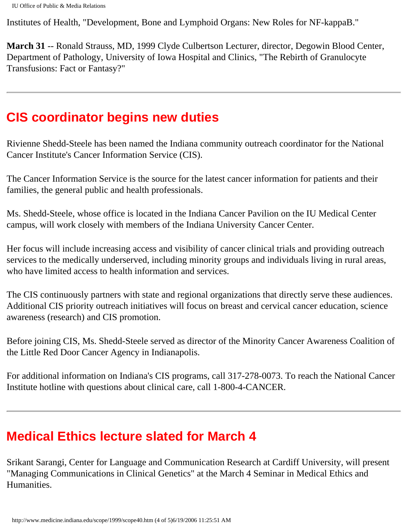Institutes of Health, "Development, Bone and Lymphoid Organs: New Roles for NF-kappaB."

**March 31** -- Ronald Strauss, MD, 1999 Clyde Culbertson Lecturer, director, Degowin Blood Center, Department of Pathology, University of Iowa Hospital and Clinics, "The Rebirth of Granulocyte Transfusions: Fact or Fantasy?"

#### **CIS coordinator begins new duties**

Rivienne Shedd-Steele has been named the Indiana community outreach coordinator for the National Cancer Institute's Cancer Information Service (CIS).

The Cancer Information Service is the source for the latest cancer information for patients and their families, the general public and health professionals.

Ms. Shedd-Steele, whose office is located in the Indiana Cancer Pavilion on the IU Medical Center campus, will work closely with members of the Indiana University Cancer Center.

Her focus will include increasing access and visibility of cancer clinical trials and providing outreach services to the medically underserved, including minority groups and individuals living in rural areas, who have limited access to health information and services.

The CIS continuously partners with state and regional organizations that directly serve these audiences. Additional CIS priority outreach initiatives will focus on breast and cervical cancer education, science awareness (research) and CIS promotion.

Before joining CIS, Ms. Shedd-Steele served as director of the Minority Cancer Awareness Coalition of the Little Red Door Cancer Agency in Indianapolis.

For additional information on Indiana's CIS programs, call 317-278-0073. To reach the National Cancer Institute hotline with questions about clinical care, call 1-800-4-CANCER.

### **Medical Ethics lecture slated for March 4**

Srikant Sarangi, Center for Language and Communication Research at Cardiff University, will present "Managing Communications in Clinical Genetics" at the March 4 Seminar in Medical Ethics and Humanities.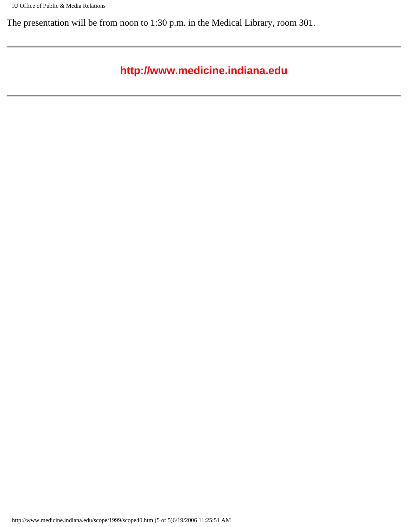The presentation will be from noon to 1:30 p.m. in the Medical Library, room 301.

#### **http://www.medicine.indiana.edu**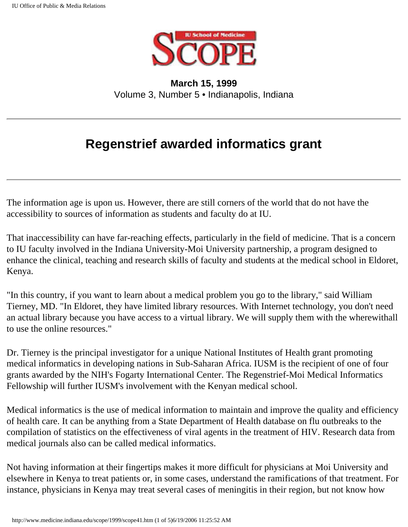

<span id="page-21-0"></span>**March 15, 1999** Volume 3, Number 5 • Indianapolis, Indiana

## **Regenstrief awarded informatics grant**

The information age is upon us. However, there are still corners of the world that do not have the accessibility to sources of information as students and faculty do at IU.

That inaccessibility can have far-reaching effects, particularly in the field of medicine. That is a concern to IU faculty involved in the Indiana University-Moi University partnership, a program designed to enhance the clinical, teaching and research skills of faculty and students at the medical school in Eldoret, Kenya.

"In this country, if you want to learn about a medical problem you go to the library," said William Tierney, MD. "In Eldoret, they have limited library resources. With Internet technology, you don't need an actual library because you have access to a virtual library. We will supply them with the wherewithall to use the online resources."

Dr. Tierney is the principal investigator for a unique National Institutes of Health grant promoting medical informatics in developing nations in Sub-Saharan Africa. IUSM is the recipient of one of four grants awarded by the NIH's Fogarty International Center. The Regenstrief-Moi Medical Informatics Fellowship will further IUSM's involvement with the Kenyan medical school.

Medical informatics is the use of medical information to maintain and improve the quality and efficiency of health care. It can be anything from a State Department of Health database on flu outbreaks to the compilation of statistics on the effectiveness of viral agents in the treatment of HIV. Research data from medical journals also can be called medical informatics.

Not having information at their fingertips makes it more difficult for physicians at Moi University and elsewhere in Kenya to treat patients or, in some cases, understand the ramifications of that treatment. For instance, physicians in Kenya may treat several cases of meningitis in their region, but not know how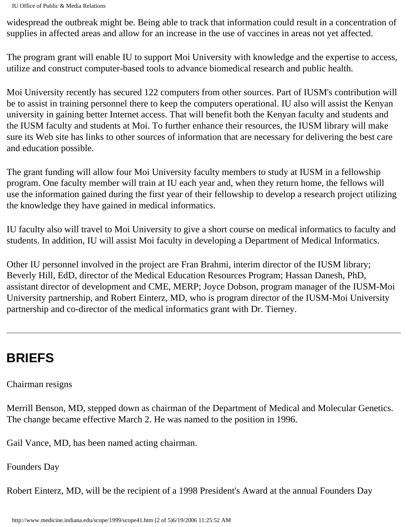widespread the outbreak might be. Being able to track that information could result in a concentration of supplies in affected areas and allow for an increase in the use of vaccines in areas not yet affected.

The program grant will enable IU to support Moi University with knowledge and the expertise to access, utilize and construct computer-based tools to advance biomedical research and public health.

Moi University recently has secured 122 computers from other sources. Part of IUSM's contribution will be to assist in training personnel there to keep the computers operational. IU also will assist the Kenyan university in gaining better Internet access. That will benefit both the Kenyan faculty and students and the IUSM faculty and students at Moi. To further enhance their resources, the IUSM library will make sure its Web site has links to other sources of information that are necessary for delivering the best care and education possible.

The grant funding will allow four Moi University faculty members to study at IUSM in a fellowship program. One faculty member will train at IU each year and, when they return home, the fellows will use the information gained during the first year of their fellowship to develop a research project utilizing the knowledge they have gained in medical informatics.

IU faculty also will travel to Moi University to give a short course on medical informatics to faculty and students. In addition, IU will assist Moi faculty in developing a Department of Medical Informatics.

Other IU personnel involved in the project are Fran Brahmi, interim director of the IUSM library; Beverly Hill, EdD, director of the Medical Education Resources Program; Hassan Danesh, PhD, assistant director of development and CME, MERP; Joyce Dobson, program manager of the IUSM-Moi University partnership, and Robert Einterz, MD, who is program director of the IUSM-Moi University partnership and co-director of the medical informatics grant with Dr. Tierney.

# **BRIEFS**

Chairman resigns

Merrill Benson, MD, stepped down as chairman of the Department of Medical and Molecular Genetics. The change became effective March 2. He was named to the position in 1996.

Gail Vance, MD, has been named acting chairman.

Founders Day

Robert Einterz, MD, will be the recipient of a 1998 President's Award at the annual Founders Day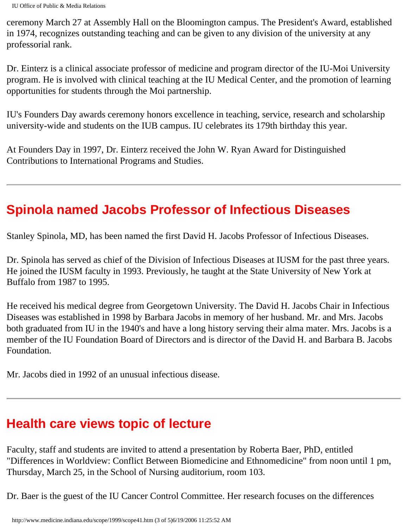ceremony March 27 at Assembly Hall on the Bloomington campus. The President's Award, established in 1974, recognizes outstanding teaching and can be given to any division of the university at any professorial rank.

Dr. Einterz is a clinical associate professor of medicine and program director of the IU-Moi University program. He is involved with clinical teaching at the IU Medical Center, and the promotion of learning opportunities for students through the Moi partnership.

IU's Founders Day awards ceremony honors excellence in teaching, service, research and scholarship university-wide and students on the IUB campus. IU celebrates its 179th birthday this year.

At Founders Day in 1997, Dr. Einterz received the John W. Ryan Award for Distinguished Contributions to International Programs and Studies.

## **Spinola named Jacobs Professor of Infectious Diseases**

Stanley Spinola, MD, has been named the first David H. Jacobs Professor of Infectious Diseases.

Dr. Spinola has served as chief of the Division of Infectious Diseases at IUSM for the past three years. He joined the IUSM faculty in 1993. Previously, he taught at the State University of New York at Buffalo from 1987 to 1995.

He received his medical degree from Georgetown University. The David H. Jacobs Chair in Infectious Diseases was established in 1998 by Barbara Jacobs in memory of her husband. Mr. and Mrs. Jacobs both graduated from IU in the 1940's and have a long history serving their alma mater. Mrs. Jacobs is a member of the IU Foundation Board of Directors and is director of the David H. and Barbara B. Jacobs Foundation.

Mr. Jacobs died in 1992 of an unusual infectious disease.

## **Health care views topic of lecture**

Faculty, staff and students are invited to attend a presentation by Roberta Baer, PhD, entitled "Differences in Worldview: Conflict Between Biomedicine and Ethnomedicine" from noon until 1 pm, Thursday, March 25, in the School of Nursing auditorium, room 103.

Dr. Baer is the guest of the IU Cancer Control Committee. Her research focuses on the differences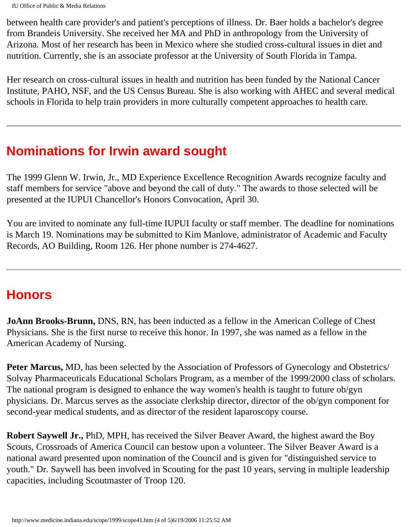between health care provider's and patient's perceptions of illness. Dr. Baer holds a bachelor's degree from Brandeis University. She received her MA and PhD in anthropology from the University of Arizona. Most of her research has been in Mexico where she studied cross-cultural issues in diet and nutrition. Currently, she is an associate professor at the University of South Florida in Tampa.

Her research on cross-cultural issues in health and nutrition has been funded by the National Cancer Institute, PAHO, NSF, and the US Census Bureau. She is also working with AHEC and several medical schools in Florida to help train providers in more culturally competent approaches to health care.

## **Nominations for Irwin award sought**

The 1999 Glenn W. Irwin, Jr., MD Experience Excellence Recognition Awards recognize faculty and staff members for service "above and beyond the call of duty." The awards to those selected will be presented at the IUPUI Chancellor's Honors Convocation, April 30.

You are invited to nominate any full-time IUPUI faculty or staff member. The deadline for nominations is March 19. Nominations may be submitted to Kim Manlove, administrator of Academic and Faculty Records, AO Building, Room 126. Her phone number is 274-4627.

#### **Honors**

**JoAnn Brooks-Brunn,** DNS, RN, has been inducted as a fellow in the American College of Chest Physicians. She is the first nurse to receive this honor. In 1997, she was named as a fellow in the American Academy of Nursing.

**Peter Marcus,** MD, has been selected by the Association of Professors of Gynecology and Obstetrics/ Solvay Pharmaceuticals Educational Scholars Program, as a member of the 1999/2000 class of scholars. The national program is designed to enhance the way women's health is taught to future ob/gyn physicians. Dr. Marcus serves as the associate clerkship director, director of the ob/gyn component for second-year medical students, and as director of the resident laparoscopy course.

**Robert Saywell Jr.,** PhD, MPH, has received the Silver Beaver Award, the highest award the Boy Scouts, Crossroads of America Council can bestow upon a volunteer. The Silver Beaver Award is a national award presented upon nomination of the Council and is given for "distinguished service to youth." Dr. Saywell has been involved in Scouting for the past 10 years, serving in multiple leadership capacities, including Scoutmaster of Troop 120.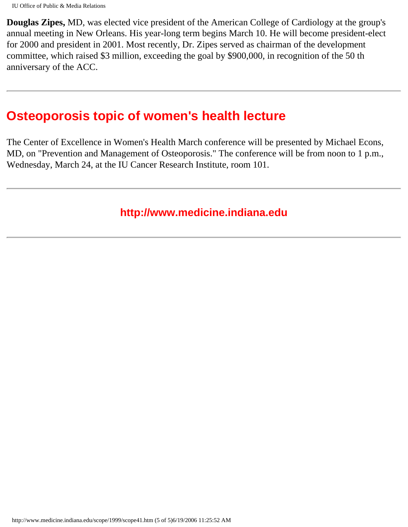**Douglas Zipes,** MD, was elected vice president of the American College of Cardiology at the group's annual meeting in New Orleans. His year-long term begins March 10. He will become president-elect for 2000 and president in 2001. Most recently, Dr. Zipes served as chairman of the development committee, which raised \$3 million, exceeding the goal by \$900,000, in recognition of the 50 th anniversary of the ACC.

#### **Osteoporosis topic of women's health lecture**

The Center of Excellence in Women's Health March conference will be presented by Michael Econs, MD, on "Prevention and Management of Osteoporosis." The conference will be from noon to 1 p.m., Wednesday, March 24, at the IU Cancer Research Institute, room 101.

#### **http://www.medicine.indiana.edu**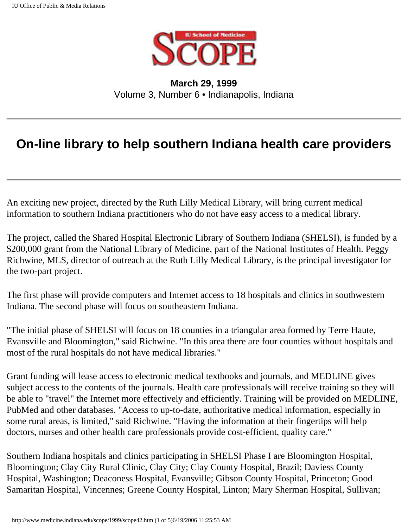

**March 29, 1999** Volume 3, Number 6 • Indianapolis, Indiana

### <span id="page-26-0"></span>**On-line library to help southern Indiana health care providers**

An exciting new project, directed by the Ruth Lilly Medical Library, will bring current medical information to southern Indiana practitioners who do not have easy access to a medical library.

The project, called the Shared Hospital Electronic Library of Southern Indiana (SHELSI), is funded by a \$200,000 grant from the National Library of Medicine, part of the National Institutes of Health. Peggy Richwine, MLS, director of outreach at the Ruth Lilly Medical Library, is the principal investigator for the two-part project.

The first phase will provide computers and Internet access to 18 hospitals and clinics in southwestern Indiana. The second phase will focus on southeastern Indiana.

"The initial phase of SHELSI will focus on 18 counties in a triangular area formed by Terre Haute, Evansville and Bloomington," said Richwine. "In this area there are four counties without hospitals and most of the rural hospitals do not have medical libraries."

Grant funding will lease access to electronic medical textbooks and journals, and MEDLINE gives subject access to the contents of the journals. Health care professionals will receive training so they will be able to "travel" the Internet more effectively and efficiently. Training will be provided on MEDLINE, PubMed and other databases. "Access to up-to-date, authoritative medical information, especially in some rural areas, is limited," said Richwine. "Having the information at their fingertips will help doctors, nurses and other health care professionals provide cost-efficient, quality care."

Southern Indiana hospitals and clinics participating in SHELSI Phase I are Bloomington Hospital, Bloomington; Clay City Rural Clinic, Clay City; Clay County Hospital, Brazil; Daviess County Hospital, Washington; Deaconess Hospital, Evansville; Gibson County Hospital, Princeton; Good Samaritan Hospital, Vincennes; Greene County Hospital, Linton; Mary Sherman Hospital, Sullivan;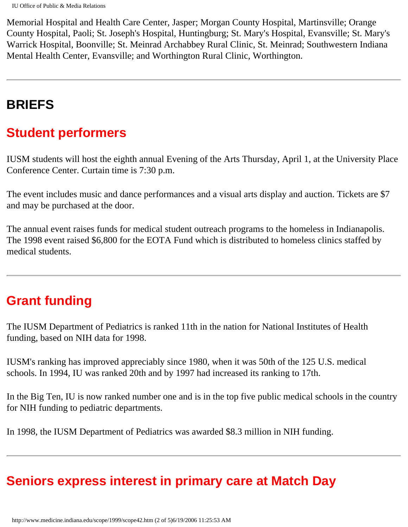Memorial Hospital and Health Care Center, Jasper; Morgan County Hospital, Martinsville; Orange County Hospital, Paoli; St. Joseph's Hospital, Huntingburg; St. Mary's Hospital, Evansville; St. Mary's Warrick Hospital, Boonville; St. Meinrad Archabbey Rural Clinic, St. Meinrad; Southwestern Indiana Mental Health Center, Evansville; and Worthington Rural Clinic, Worthington.

## **BRIEFS**

### **Student performers**

IUSM students will host the eighth annual Evening of the Arts Thursday, April 1, at the University Place Conference Center. Curtain time is 7:30 p.m.

The event includes music and dance performances and a visual arts display and auction. Tickets are \$7 and may be purchased at the door.

The annual event raises funds for medical student outreach programs to the homeless in Indianapolis. The 1998 event raised \$6,800 for the EOTA Fund which is distributed to homeless clinics staffed by medical students.

#### **Grant funding**

The IUSM Department of Pediatrics is ranked 11th in the nation for National Institutes of Health funding, based on NIH data for 1998.

IUSM's ranking has improved appreciably since 1980, when it was 50th of the 125 U.S. medical schools. In 1994, IU was ranked 20th and by 1997 had increased its ranking to 17th.

In the Big Ten, IU is now ranked number one and is in the top five public medical schools in the country for NIH funding to pediatric departments.

In 1998, the IUSM Department of Pediatrics was awarded \$8.3 million in NIH funding.

### **Seniors express interest in primary care at Match Day**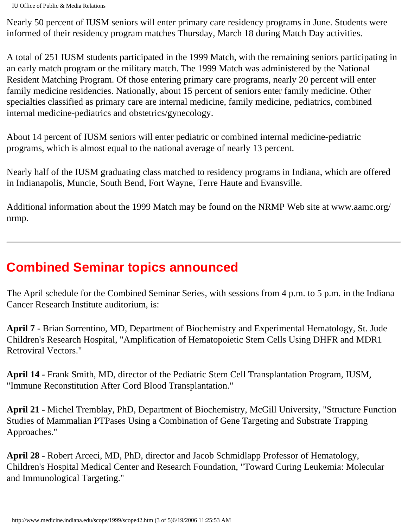Nearly 50 percent of IUSM seniors will enter primary care residency programs in June. Students were informed of their residency program matches Thursday, March 18 during Match Day activities.

A total of 251 IUSM students participated in the 1999 Match, with the remaining seniors participating in an early match program or the military match. The 1999 Match was administered by the National Resident Matching Program. Of those entering primary care programs, nearly 20 percent will enter family medicine residencies. Nationally, about 15 percent of seniors enter family medicine. Other specialties classified as primary care are internal medicine, family medicine, pediatrics, combined internal medicine-pediatrics and obstetrics/gynecology.

About 14 percent of IUSM seniors will enter pediatric or combined internal medicine-pediatric programs, which is almost equal to the national average of nearly 13 percent.

Nearly half of the IUSM graduating class matched to residency programs in Indiana, which are offered in Indianapolis, Muncie, South Bend, Fort Wayne, Terre Haute and Evansville.

Additional information about the 1999 Match may be found on the NRMP Web site at www.aamc.org/ nrmp.

# **Combined Seminar topics announced**

The April schedule for the Combined Seminar Series, with sessions from 4 p.m. to 5 p.m. in the Indiana Cancer Research Institute auditorium, is:

**April 7** - Brian Sorrentino, MD, Department of Biochemistry and Experimental Hematology, St. Jude Children's Research Hospital, "Amplification of Hematopoietic Stem Cells Using DHFR and MDR1 Retroviral Vectors."

**April 14** - Frank Smith, MD, director of the Pediatric Stem Cell Transplantation Program, IUSM, "Immune Reconstitution After Cord Blood Transplantation."

**April 21** - Michel Tremblay, PhD, Department of Biochemistry, McGill University, "Structure Function Studies of Mammalian PTPases Using a Combination of Gene Targeting and Substrate Trapping Approaches."

**April 28** - Robert Arceci, MD, PhD, director and Jacob Schmidlapp Professor of Hematology, Children's Hospital Medical Center and Research Foundation, "Toward Curing Leukemia: Molecular and Immunological Targeting."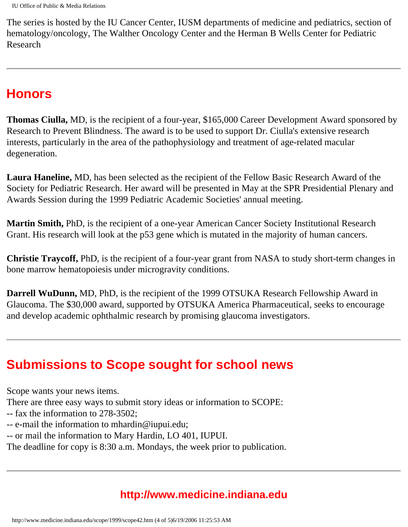The series is hosted by the IU Cancer Center, IUSM departments of medicine and pediatrics, section of hematology/oncology, The Walther Oncology Center and the Herman B Wells Center for Pediatric Research

## **Honors**

**Thomas Ciulla,** MD, is the recipient of a four-year, \$165,000 Career Development Award sponsored by Research to Prevent Blindness. The award is to be used to support Dr. Ciulla's extensive research interests, particularly in the area of the pathophysiology and treatment of age-related macular degeneration.

**Laura Haneline,** MD, has been selected as the recipient of the Fellow Basic Research Award of the Society for Pediatric Research. Her award will be presented in May at the SPR Presidential Plenary and Awards Session during the 1999 Pediatric Academic Societies' annual meeting.

**Martin Smith,** PhD, is the recipient of a one-year American Cancer Society Institutional Research Grant. His research will look at the p53 gene which is mutated in the majority of human cancers.

**Christie Traycoff,** PhD, is the recipient of a four-year grant from NASA to study short-term changes in bone marrow hematopoiesis under microgravity conditions.

**Darrell WuDunn,** MD, PhD, is the recipient of the 1999 OTSUKA Research Fellowship Award in Glaucoma. The \$30,000 award, supported by OTSUKA America Pharmaceutical, seeks to encourage and develop academic ophthalmic research by promising glaucoma investigators.

## **Submissions to Scope sought for school news**

Scope wants your news items.

There are three easy ways to submit story ideas or information to SCOPE:

-- fax the information to 278-3502;

- -- e-mail the information to mhardin@iupui.edu;
- -- or mail the information to Mary Hardin, LO 401, IUPUI.

The deadline for copy is 8:30 a.m. Mondays, the week prior to publication.

#### **http://www.medicine.indiana.edu**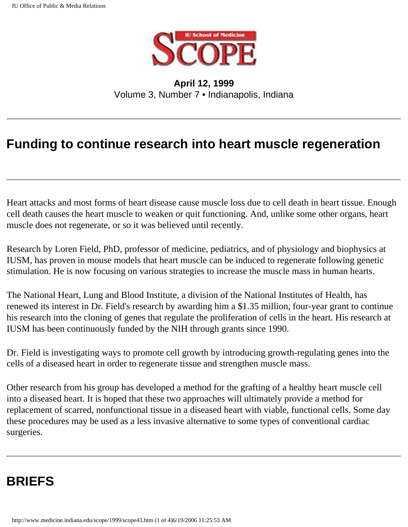

**April 12, 1999** Volume 3, Number 7 • Indianapolis, Indiana

### <span id="page-31-0"></span>**Funding to continue research into heart muscle regeneration**

Heart attacks and most forms of heart disease cause muscle loss due to cell death in heart tissue. Enough cell death causes the heart muscle to weaken or quit functioning. And, unlike some other organs, heart muscle does not regenerate, or so it was believed until recently.

Research by Loren Field, PhD, professor of medicine, pediatrics, and of physiology and biophysics at IUSM, has proven in mouse models that heart muscle can be induced to regenerate following genetic stimulation. He is now focusing on various strategies to increase the muscle mass in human hearts.

The National Heart, Lung and Blood Institute, a division of the National Institutes of Health, has renewed its interest in Dr. Field's research by awarding him a \$1.35 million, four-year grant to continue his research into the cloning of genes that regulate the proliferation of cells in the heart. His research at IUSM has been continuously funded by the NIH through grants since 1990.

Dr. Field is investigating ways to promote cell growth by introducing growth-regulating genes into the cells of a diseased heart in order to regenerate tissue and strengthen muscle mass.

Other research from his group has developed a method for the grafting of a healthy heart muscle cell into a diseased heart. It is hoped that these two approaches will ultimately provide a method for replacement of scarred, nonfunctional tissue in a diseased heart with viable, functional cells. Some day these procedures may be used as a less invasive alternative to some types of conventional cardiac surgeries.

## **BRIEFS**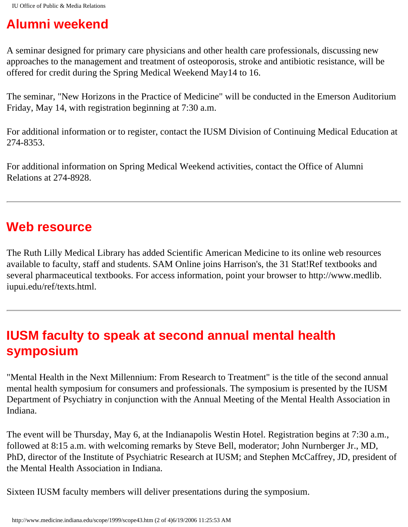## **Alumni weekend**

A seminar designed for primary care physicians and other health care professionals, discussing new approaches to the management and treatment of osteoporosis, stroke and antibiotic resistance, will be offered for credit during the Spring Medical Weekend May14 to 16.

The seminar, "New Horizons in the Practice of Medicine" will be conducted in the Emerson Auditorium Friday, May 14, with registration beginning at 7:30 a.m.

For additional information or to register, contact the IUSM Division of Continuing Medical Education at 274-8353.

For additional information on Spring Medical Weekend activities, contact the Office of Alumni Relations at 274-8928.

## **Web resource**

The Ruth Lilly Medical Library has added Scientific American Medicine to its online web resources available to faculty, staff and students. SAM Online joins Harrison's, the 31 Stat!Ref textbooks and several pharmaceutical textbooks. For access information, point your browser to http://www.medlib. iupui.edu/ref/texts.html.

## **IUSM faculty to speak at second annual mental health symposium**

"Mental Health in the Next Millennium: From Research to Treatment" is the title of the second annual mental health symposium for consumers and professionals. The symposium is presented by the IUSM Department of Psychiatry in conjunction with the Annual Meeting of the Mental Health Association in Indiana.

The event will be Thursday, May 6, at the Indianapolis Westin Hotel. Registration begins at 7:30 a.m., followed at 8:15 a.m. with welcoming remarks by Steve Bell, moderator; John Nurnberger Jr., MD, PhD, director of the Institute of Psychiatric Research at IUSM; and Stephen McCaffrey, JD, president of the Mental Health Association in Indiana.

Sixteen IUSM faculty members will deliver presentations during the symposium.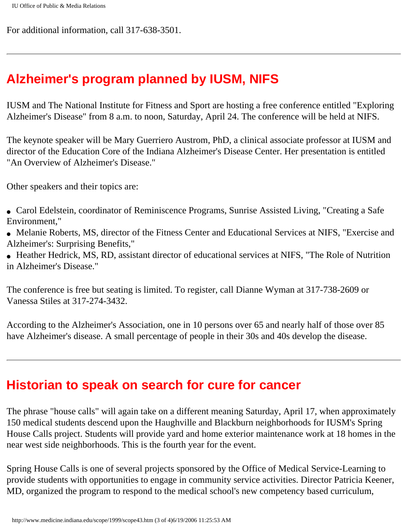For additional information, call 317-638-3501.

### **Alzheimer's program planned by IUSM, NIFS**

IUSM and The National Institute for Fitness and Sport are hosting a free conference entitled "Exploring Alzheimer's Disease" from 8 a.m. to noon, Saturday, April 24. The conference will be held at NIFS.

The keynote speaker will be Mary Guerriero Austrom, PhD, a clinical associate professor at IUSM and director of the Education Core of the Indiana Alzheimer's Disease Center. Her presentation is entitled "An Overview of Alzheimer's Disease."

Other speakers and their topics are:

- Carol Edelstein, coordinator of Reminiscence Programs, Sunrise Assisted Living, "Creating a Safe Environment,"
- Melanie Roberts, MS, director of the Fitness Center and Educational Services at NIFS, "Exercise and Alzheimer's: Surprising Benefits,"
- Heather Hedrick, MS, RD, assistant director of educational services at NIFS, "The Role of Nutrition in Alzheimer's Disease."

The conference is free but seating is limited. To register, call Dianne Wyman at 317-738-2609 or Vanessa Stiles at 317-274-3432.

According to the Alzheimer's Association, one in 10 persons over 65 and nearly half of those over 85 have Alzheimer's disease. A small percentage of people in their 30s and 40s develop the disease.

#### **Historian to speak on search for cure for cancer**

The phrase "house calls" will again take on a different meaning Saturday, April 17, when approximately 150 medical students descend upon the Haughville and Blackburn neighborhoods for IUSM's Spring House Calls project. Students will provide yard and home exterior maintenance work at 18 homes in the near west side neighborhoods. This is the fourth year for the event.

Spring House Calls is one of several projects sponsored by the Office of Medical Service-Learning to provide students with opportunities to engage in community service activities. Director Patricia Keener, MD, organized the program to respond to the medical school's new competency based curriculum,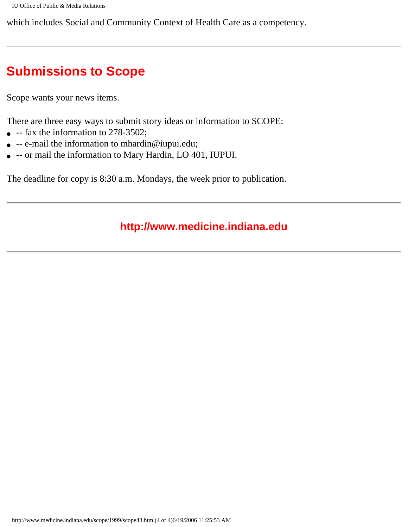which includes Social and Community Context of Health Care as a competency.

## **Submissions to Scope**

Scope wants your news items.

There are three easy ways to submit story ideas or information to SCOPE:

- $\bullet$  -- fax the information to 278-3502;
- $\bullet$  -- e-mail the information to mhardin@iupui.edu;
- -- or mail the information to Mary Hardin, LO 401, IUPUI.

The deadline for copy is 8:30 a.m. Mondays, the week prior to publication.

#### **http://www.medicine.indiana.edu**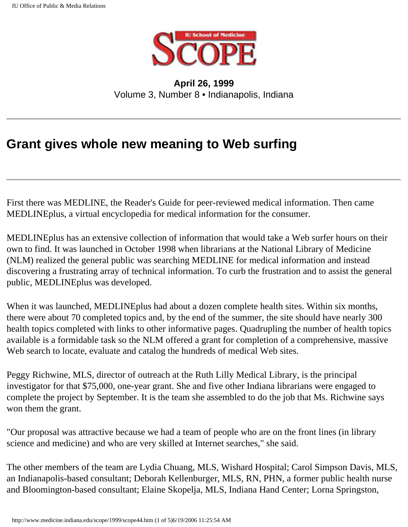

**April 26, 1999** Volume 3, Number 8 • Indianapolis, Indiana

## <span id="page-35-0"></span>**Grant gives whole new meaning to Web surfing**

First there was MEDLINE, the Reader's Guide for peer-reviewed medical information. Then came MEDLINEplus, a virtual encyclopedia for medical information for the consumer.

MEDLINEplus has an extensive collection of information that would take a Web surfer hours on their own to find. It was launched in October 1998 when librarians at the National Library of Medicine (NLM) realized the general public was searching MEDLINE for medical information and instead discovering a frustrating array of technical information. To curb the frustration and to assist the general public, MEDLINEplus was developed.

When it was launched, MEDLINE plus had about a dozen complete health sites. Within six months, there were about 70 completed topics and, by the end of the summer, the site should have nearly 300 health topics completed with links to other informative pages. Quadrupling the number of health topics available is a formidable task so the NLM offered a grant for completion of a comprehensive, massive Web search to locate, evaluate and catalog the hundreds of medical Web sites.

Peggy Richwine, MLS, director of outreach at the Ruth Lilly Medical Library, is the principal investigator for that \$75,000, one-year grant. She and five other Indiana librarians were engaged to complete the project by September. It is the team she assembled to do the job that Ms. Richwine says won them the grant.

"Our proposal was attractive because we had a team of people who are on the front lines (in library science and medicine) and who are very skilled at Internet searches," she said.

The other members of the team are Lydia Chuang, MLS, Wishard Hospital; Carol Simpson Davis, MLS, an Indianapolis-based consultant; Deborah Kellenburger, MLS, RN, PHN, a former public health nurse and Bloomington-based consultant; Elaine Skopelja, MLS, Indiana Hand Center; Lorna Springston,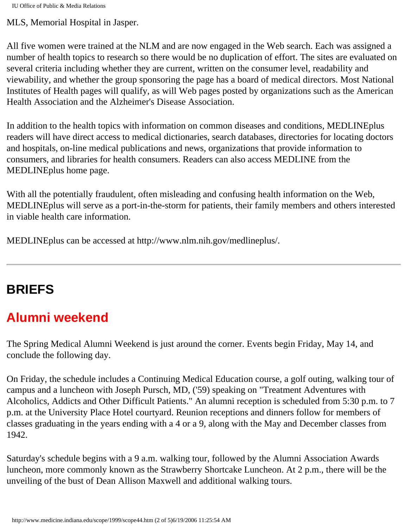MLS, Memorial Hospital in Jasper.

All five women were trained at the NLM and are now engaged in the Web search. Each was assigned a number of health topics to research so there would be no duplication of effort. The sites are evaluated on several criteria including whether they are current, written on the consumer level, readability and viewability, and whether the group sponsoring the page has a board of medical directors. Most National Institutes of Health pages will qualify, as will Web pages posted by organizations such as the American Health Association and the Alzheimer's Disease Association.

In addition to the health topics with information on common diseases and conditions, MEDLINEplus readers will have direct access to medical dictionaries, search databases, directories for locating doctors and hospitals, on-line medical publications and news, organizations that provide information to consumers, and libraries for health consumers. Readers can also access MEDLINE from the MEDLINEplus home page.

With all the potentially fraudulent, often misleading and confusing health information on the Web, MEDLINEplus will serve as a port-in-the-storm for patients, their family members and others interested in viable health care information.

MEDLINEplus can be accessed at http://www.nlm.nih.gov/medlineplus/.

# **BRIEFS**

# **Alumni weekend**

The Spring Medical Alumni Weekend is just around the corner. Events begin Friday, May 14, and conclude the following day.

On Friday, the schedule includes a Continuing Medical Education course, a golf outing, walking tour of campus and a luncheon with Joseph Pursch, MD, ('59) speaking on "Treatment Adventures with Alcoholics, Addicts and Other Difficult Patients." An alumni reception is scheduled from 5:30 p.m. to 7 p.m. at the University Place Hotel courtyard. Reunion receptions and dinners follow for members of classes graduating in the years ending with a 4 or a 9, along with the May and December classes from 1942.

Saturday's schedule begins with a 9 a.m. walking tour, followed by the Alumni Association Awards luncheon, more commonly known as the Strawberry Shortcake Luncheon. At 2 p.m., there will be the unveiling of the bust of Dean Allison Maxwell and additional walking tours.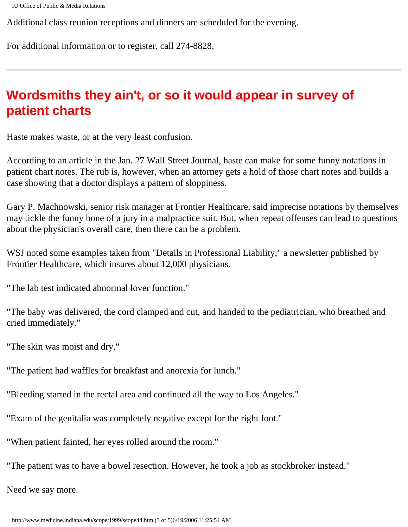```
IU Office of Public & Media Relations
```
Additional class reunion receptions and dinners are scheduled for the evening.

For additional information or to register, call 274-8828.

## **Wordsmiths they ain't, or so it would appear in survey of patient charts**

Haste makes waste, or at the very least confusion.

According to an article in the Jan. 27 Wall Street Journal, haste can make for some funny notations in patient chart notes. The rub is, however, when an attorney gets a hold of those chart notes and builds a case showing that a doctor displays a pattern of sloppiness.

Gary P. Machnowski, senior risk manager at Frontier Healthcare, said imprecise notations by themselves may tickle the funny bone of a jury in a malpractice suit. But, when repeat offenses can lead to questions about the physician's overall care, then there can be a problem.

WSJ noted some examples taken from "Details in Professional Liability," a newsletter published by Frontier Healthcare, which insures about 12,000 physicians.

"The lab test indicated abnormal lover function."

"The baby was delivered, the cord clamped and cut, and handed to the pediatrician, who breathed and cried immediately."

"The skin was moist and dry."

"The patient had waffles for breakfast and anorexia for lunch."

"Bleeding started in the rectal area and continued all the way to Los Angeles."

"Exam of the genitalia was completely negative except for the right foot."

"When patient fainted, her eyes rolled around the room."

"The patient was to have a bowel resection. However, he took a job as stockbroker instead."

Need we say more.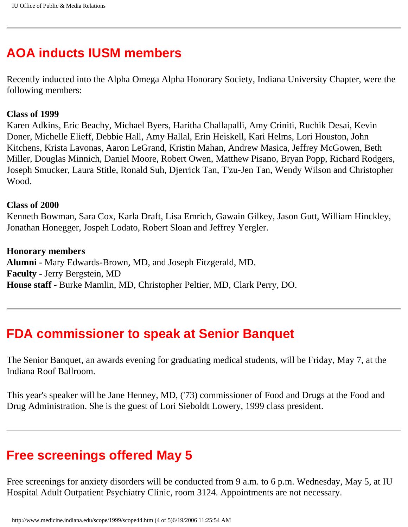## **AOA inducts IUSM members**

Recently inducted into the Alpha Omega Alpha Honorary Society, Indiana University Chapter, were the following members:

#### **Class of 1999**

Karen Adkins, Eric Beachy, Michael Byers, Haritha Challapalli, Amy Criniti, Ruchik Desai, Kevin Doner, Michelle Elieff, Debbie Hall, Amy Hallal, Erin Heiskell, Kari Helms, Lori Houston, John Kitchens, Krista Lavonas, Aaron LeGrand, Kristin Mahan, Andrew Masica, Jeffrey McGowen, Beth Miller, Douglas Minnich, Daniel Moore, Robert Owen, Matthew Pisano, Bryan Popp, Richard Rodgers, Joseph Smucker, Laura Stitle, Ronald Suh, Djerrick Tan, T'zu-Jen Tan, Wendy Wilson and Christopher Wood.

#### **Class of 2000**

Kenneth Bowman, Sara Cox, Karla Draft, Lisa Emrich, Gawain Gilkey, Jason Gutt, William Hinckley, Jonathan Honegger, Jospeh Lodato, Robert Sloan and Jeffrey Yergler.

#### **Honorary members**

**Alumni** - Mary Edwards-Brown, MD, and Joseph Fitzgerald, MD. **Faculty** - Jerry Bergstein, MD **House staff** - Burke Mamlin, MD, Christopher Peltier, MD, Clark Perry, DO.

#### **FDA commissioner to speak at Senior Banquet**

The Senior Banquet, an awards evening for graduating medical students, will be Friday, May 7, at the Indiana Roof Ballroom.

This year's speaker will be Jane Henney, MD, ('73) commissioner of Food and Drugs at the Food and Drug Administration. She is the guest of Lori Sieboldt Lowery, 1999 class president.

#### **Free screenings offered May 5**

Free screenings for anxiety disorders will be conducted from 9 a.m. to 6 p.m. Wednesday, May 5, at IU Hospital Adult Outpatient Psychiatry Clinic, room 3124. Appointments are not necessary.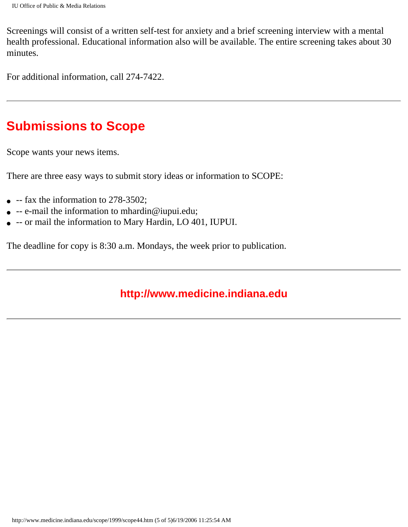Screenings will consist of a written self-test for anxiety and a brief screening interview with a mental health professional. Educational information also will be available. The entire screening takes about 30 minutes.

For additional information, call 274-7422.

#### **Submissions to Scope**

Scope wants your news items.

There are three easy ways to submit story ideas or information to SCOPE:

- $\bullet$  -- fax the information to 278-3502;
- $\bullet$  -- e-mail the information to mhardin@iupui.edu;
- -- or mail the information to Mary Hardin, LO 401, IUPUI.

The deadline for copy is 8:30 a.m. Mondays, the week prior to publication.

#### **http://www.medicine.indiana.edu**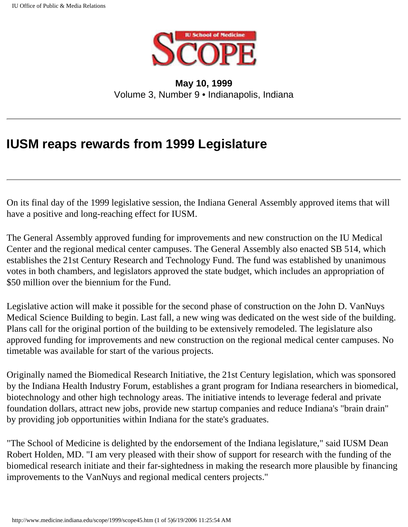

**May 10, 1999** Volume 3, Number 9 • Indianapolis, Indiana

### **IUSM reaps rewards from 1999 Legislature**

On its final day of the 1999 legislative session, the Indiana General Assembly approved items that will have a positive and long-reaching effect for IUSM.

The General Assembly approved funding for improvements and new construction on the IU Medical Center and the regional medical center campuses. The General Assembly also enacted SB 514, which establishes the 21st Century Research and Technology Fund. The fund was established by unanimous votes in both chambers, and legislators approved the state budget, which includes an appropriation of \$50 million over the biennium for the Fund.

Legislative action will make it possible for the second phase of construction on the John D. VanNuys Medical Science Building to begin. Last fall, a new wing was dedicated on the west side of the building. Plans call for the original portion of the building to be extensively remodeled. The legislature also approved funding for improvements and new construction on the regional medical center campuses. No timetable was available for start of the various projects.

Originally named the Biomedical Research Initiative, the 21st Century legislation, which was sponsored by the Indiana Health Industry Forum, establishes a grant program for Indiana researchers in biomedical, biotechnology and other high technology areas. The initiative intends to leverage federal and private foundation dollars, attract new jobs, provide new startup companies and reduce Indiana's "brain drain" by providing job opportunities within Indiana for the state's graduates.

"The School of Medicine is delighted by the endorsement of the Indiana legislature," said IUSM Dean Robert Holden, MD. "I am very pleased with their show of support for research with the funding of the biomedical research initiate and their far-sightedness in making the research more plausible by financing improvements to the VanNuys and regional medical centers projects."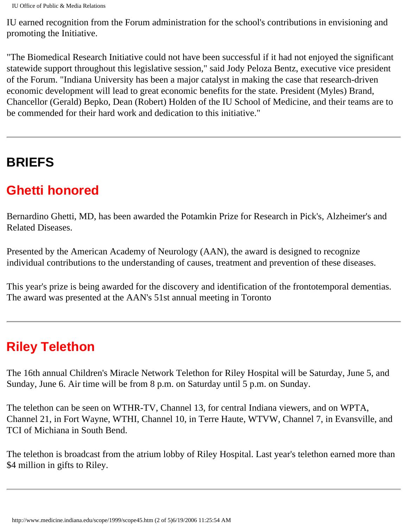IU earned recognition from the Forum administration for the school's contributions in envisioning and promoting the Initiative.

"The Biomedical Research Initiative could not have been successful if it had not enjoyed the significant statewide support throughout this legislative session," said Jody Peloza Bentz, executive vice president of the Forum. "Indiana University has been a major catalyst in making the case that research-driven economic development will lead to great economic benefits for the state. President (Myles) Brand, Chancellor (Gerald) Bepko, Dean (Robert) Holden of the IU School of Medicine, and their teams are to be commended for their hard work and dedication to this initiative."

# **BRIEFS**

## **Ghetti honored**

Bernardino Ghetti, MD, has been awarded the Potamkin Prize for Research in Pick's, Alzheimer's and Related Diseases.

Presented by the American Academy of Neurology (AAN), the award is designed to recognize individual contributions to the understanding of causes, treatment and prevention of these diseases.

This year's prize is being awarded for the discovery and identification of the frontotemporal dementias. The award was presented at the AAN's 51st annual meeting in Toronto

# **Riley Telethon**

The 16th annual Children's Miracle Network Telethon for Riley Hospital will be Saturday, June 5, and Sunday, June 6. Air time will be from 8 p.m. on Saturday until 5 p.m. on Sunday.

The telethon can be seen on WTHR-TV, Channel 13, for central Indiana viewers, and on WPTA, Channel 21, in Fort Wayne, WTHI, Channel 10, in Terre Haute, WTVW, Channel 7, in Evansville, and TCI of Michiana in South Bend.

The telethon is broadcast from the atrium lobby of Riley Hospital. Last year's telethon earned more than \$4 million in gifts to Riley.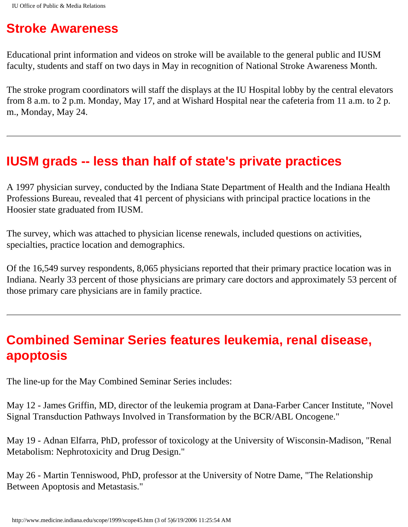## **Stroke Awareness**

Educational print information and videos on stroke will be available to the general public and IUSM faculty, students and staff on two days in May in recognition of National Stroke Awareness Month.

The stroke program coordinators will staff the displays at the IU Hospital lobby by the central elevators from 8 a.m. to 2 p.m. Monday, May 17, and at Wishard Hospital near the cafeteria from 11 a.m. to 2 p. m., Monday, May 24.

#### **IUSM grads -- less than half of state's private practices**

A 1997 physician survey, conducted by the Indiana State Department of Health and the Indiana Health Professions Bureau, revealed that 41 percent of physicians with principal practice locations in the Hoosier state graduated from IUSM.

The survey, which was attached to physician license renewals, included questions on activities, specialties, practice location and demographics.

Of the 16,549 survey respondents, 8,065 physicians reported that their primary practice location was in Indiana. Nearly 33 percent of those physicians are primary care doctors and approximately 53 percent of those primary care physicians are in family practice.

### **Combined Seminar Series features leukemia, renal disease, apoptosis**

The line-up for the May Combined Seminar Series includes:

May 12 - James Griffin, MD, director of the leukemia program at Dana-Farber Cancer Institute, "Novel Signal Transduction Pathways Involved in Transformation by the BCR/ABL Oncogene."

May 19 - Adnan Elfarra, PhD, professor of toxicology at the University of Wisconsin-Madison, "Renal Metabolism: Nephrotoxicity and Drug Design."

May 26 - Martin Tenniswood, PhD, professor at the University of Notre Dame, "The Relationship Between Apoptosis and Metastasis."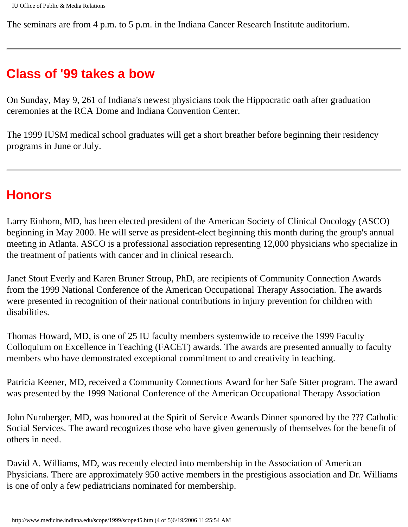The seminars are from 4 p.m. to 5 p.m. in the Indiana Cancer Research Institute auditorium.

#### **Class of '99 takes a bow**

On Sunday, May 9, 261 of Indiana's newest physicians took the Hippocratic oath after graduation ceremonies at the RCA Dome and Indiana Convention Center.

The 1999 IUSM medical school graduates will get a short breather before beginning their residency programs in June or July.

#### **Honors**

Larry Einhorn, MD, has been elected president of the American Society of Clinical Oncology (ASCO) beginning in May 2000. He will serve as president-elect beginning this month during the group's annual meeting in Atlanta. ASCO is a professional association representing 12,000 physicians who specialize in the treatment of patients with cancer and in clinical research.

Janet Stout Everly and Karen Bruner Stroup, PhD, are recipients of Community Connection Awards from the 1999 National Conference of the American Occupational Therapy Association. The awards were presented in recognition of their national contributions in injury prevention for children with disabilities.

Thomas Howard, MD, is one of 25 IU faculty members systemwide to receive the 1999 Faculty Colloquium on Excellence in Teaching (FACET) awards. The awards are presented annually to faculty members who have demonstrated exceptional commitment to and creativity in teaching.

Patricia Keener, MD, received a Community Connections Award for her Safe Sitter program. The award was presented by the 1999 National Conference of the American Occupational Therapy Association

John Nurnberger, MD, was honored at the Spirit of Service Awards Dinner sponored by the ??? Catholic Social Services. The award recognizes those who have given generously of themselves for the benefit of others in need.

David A. Williams, MD, was recently elected into membership in the Association of American Physicians. There are approximately 950 active members in the prestigious association and Dr. Williams is one of only a few pediatricians nominated for membership.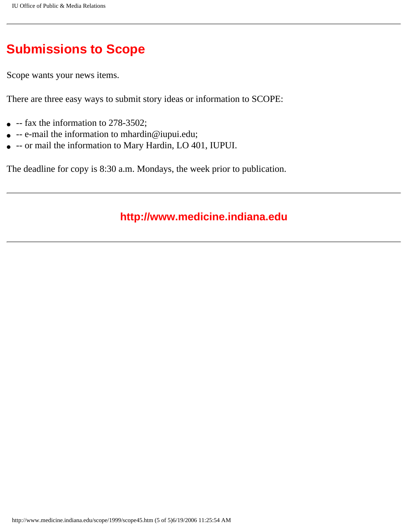## **Submissions to Scope**

Scope wants your news items.

There are three easy ways to submit story ideas or information to SCOPE:

- $\bullet$  -- fax the information to 278-3502;
- -- e-mail the information to mhardin@iupui.edu;
- -- or mail the information to Mary Hardin, LO 401, IUPUI.

The deadline for copy is 8:30 a.m. Mondays, the week prior to publication.

#### **http://www.medicine.indiana.edu**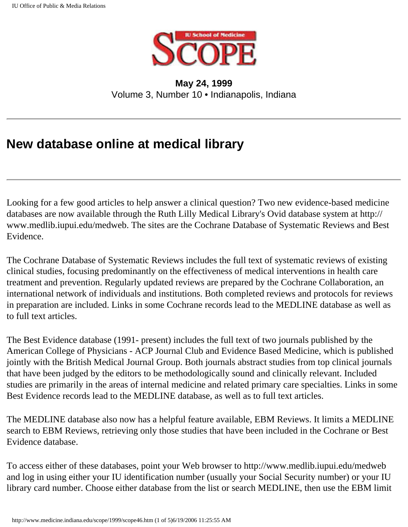

**May 24, 1999** Volume 3, Number 10 • Indianapolis, Indiana

### **New database online at medical library**

Looking for a few good articles to help answer a clinical question? Two new evidence-based medicine databases are now available through the Ruth Lilly Medical Library's Ovid database system at http:// www.medlib.iupui.edu/medweb. The sites are the Cochrane Database of Systematic Reviews and Best Evidence.

The Cochrane Database of Systematic Reviews includes the full text of systematic reviews of existing clinical studies, focusing predominantly on the effectiveness of medical interventions in health care treatment and prevention. Regularly updated reviews are prepared by the Cochrane Collaboration, an international network of individuals and institutions. Both completed reviews and protocols for reviews in preparation are included. Links in some Cochrane records lead to the MEDLINE database as well as to full text articles.

The Best Evidence database (1991- present) includes the full text of two journals published by the American College of Physicians - ACP Journal Club and Evidence Based Medicine, which is published jointly with the British Medical Journal Group. Both journals abstract studies from top clinical journals that have been judged by the editors to be methodologically sound and clinically relevant. Included studies are primarily in the areas of internal medicine and related primary care specialties. Links in some Best Evidence records lead to the MEDLINE database, as well as to full text articles.

The MEDLINE database also now has a helpful feature available, EBM Reviews. It limits a MEDLINE search to EBM Reviews, retrieving only those studies that have been included in the Cochrane or Best Evidence database.

To access either of these databases, point your Web browser to http://www.medlib.iupui.edu/medweb and log in using either your IU identification number (usually your Social Security number) or your IU library card number. Choose either database from the list or search MEDLINE, then use the EBM limit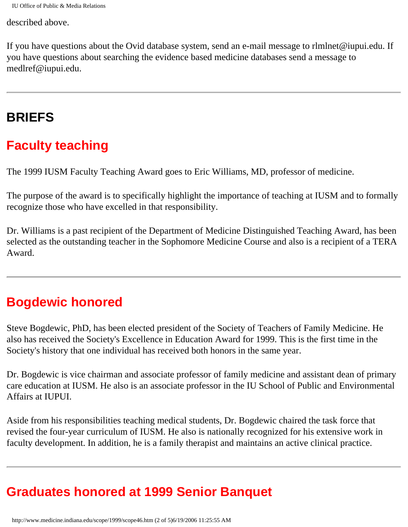described above.

If you have questions about the Ovid database system, send an e-mail message to rlmlnet@iupui.edu. If you have questions about searching the evidence based medicine databases send a message to medlref@iupui.edu.

### **BRIEFS**

## **Faculty teaching**

The 1999 IUSM Faculty Teaching Award goes to Eric Williams, MD, professor of medicine.

The purpose of the award is to specifically highlight the importance of teaching at IUSM and to formally recognize those who have excelled in that responsibility.

Dr. Williams is a past recipient of the Department of Medicine Distinguished Teaching Award, has been selected as the outstanding teacher in the Sophomore Medicine Course and also is a recipient of a TERA Award.

### **Bogdewic honored**

Steve Bogdewic, PhD, has been elected president of the Society of Teachers of Family Medicine. He also has received the Society's Excellence in Education Award for 1999. This is the first time in the Society's history that one individual has received both honors in the same year.

Dr. Bogdewic is vice chairman and associate professor of family medicine and assistant dean of primary care education at IUSM. He also is an associate professor in the IU School of Public and Environmental Affairs at IUPUI.

Aside from his responsibilities teaching medical students, Dr. Bogdewic chaired the task force that revised the four-year curriculum of IUSM. He also is nationally recognized for his extensive work in faculty development. In addition, he is a family therapist and maintains an active clinical practice.

## **Graduates honored at 1999 Senior Banquet**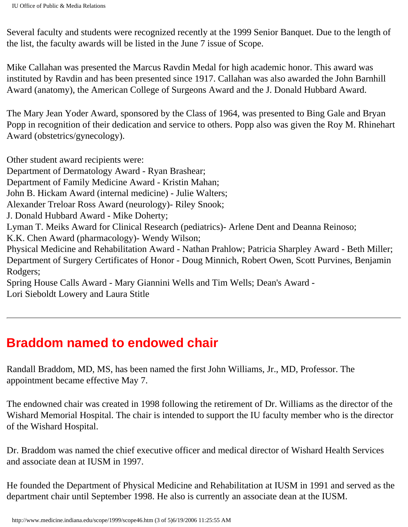Several faculty and students were recognized recently at the 1999 Senior Banquet. Due to the length of the list, the faculty awards will be listed in the June 7 issue of Scope.

Mike Callahan was presented the Marcus Ravdin Medal for high academic honor. This award was instituted by Ravdin and has been presented since 1917. Callahan was also awarded the John Barnhill Award (anatomy), the American College of Surgeons Award and the J. Donald Hubbard Award.

The Mary Jean Yoder Award, sponsored by the Class of 1964, was presented to Bing Gale and Bryan Popp in recognition of their dedication and service to others. Popp also was given the Roy M. Rhinehart Award (obstetrics/gynecology).

Other student award recipients were:

Department of Dermatology Award - Ryan Brashear; Department of Family Medicine Award - Kristin Mahan; John B. Hickam Award (internal medicine) - Julie Walters; Alexander Treloar Ross Award (neurology)- Riley Snook; J. Donald Hubbard Award - Mike Doherty; Lyman T. Meiks Award for Clinical Research (pediatrics)- Arlene Dent and Deanna Reinoso; K.K. Chen Award (pharmacology)- Wendy Wilson; Physical Medicine and Rehabilitation Award - Nathan Prahlow; Patricia Sharpley Award - Beth Miller; Department of Surgery Certificates of Honor - Doug Minnich, Robert Owen, Scott Purvines, Benjamin Rodgers; Spring House Calls Award - Mary Giannini Wells and Tim Wells; Dean's Award - Lori Sieboldt Lowery and Laura Stitle

### **Braddom named to endowed chair**

Randall Braddom, MD, MS, has been named the first John Williams, Jr., MD, Professor. The appointment became effective May 7.

The endowned chair was created in 1998 following the retirement of Dr. Williams as the director of the Wishard Memorial Hospital. The chair is intended to support the IU faculty member who is the director of the Wishard Hospital.

Dr. Braddom was named the chief executive officer and medical director of Wishard Health Services and associate dean at IUSM in 1997.

He founded the Department of Physical Medicine and Rehabilitation at IUSM in 1991 and served as the department chair until September 1998. He also is currently an associate dean at the IUSM.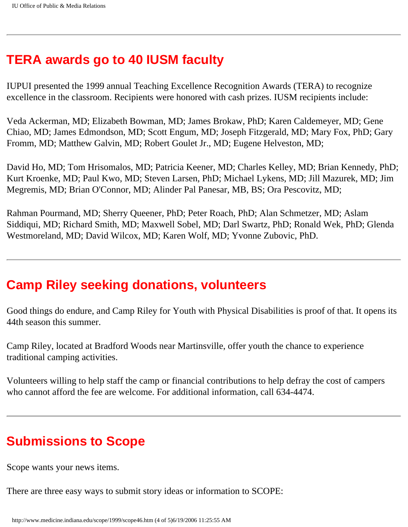### **TERA awards go to 40 IUSM faculty**

IUPUI presented the 1999 annual Teaching Excellence Recognition Awards (TERA) to recognize excellence in the classroom. Recipients were honored with cash prizes. IUSM recipients include:

Veda Ackerman, MD; Elizabeth Bowman, MD; James Brokaw, PhD; Karen Caldemeyer, MD; Gene Chiao, MD; James Edmondson, MD; Scott Engum, MD; Joseph Fitzgerald, MD; Mary Fox, PhD; Gary Fromm, MD; Matthew Galvin, MD; Robert Goulet Jr., MD; Eugene Helveston, MD;

David Ho, MD; Tom Hrisomalos, MD; Patricia Keener, MD; Charles Kelley, MD; Brian Kennedy, PhD; Kurt Kroenke, MD; Paul Kwo, MD; Steven Larsen, PhD; Michael Lykens, MD; Jill Mazurek, MD; Jim Megremis, MD; Brian O'Connor, MD; Alinder Pal Panesar, MB, BS; Ora Pescovitz, MD;

Rahman Pourmand, MD; Sherry Queener, PhD; Peter Roach, PhD; Alan Schmetzer, MD; Aslam Siddiqui, MD; Richard Smith, MD; Maxwell Sobel, MD; Darl Swartz, PhD; Ronald Wek, PhD; Glenda Westmoreland, MD; David Wilcox, MD; Karen Wolf, MD; Yvonne Zubovic, PhD.

#### **Camp Riley seeking donations, volunteers**

Good things do endure, and Camp Riley for Youth with Physical Disabilities is proof of that. It opens its 44th season this summer.

Camp Riley, located at Bradford Woods near Martinsville, offer youth the chance to experience traditional camping activities.

Volunteers willing to help staff the camp or financial contributions to help defray the cost of campers who cannot afford the fee are welcome. For additional information, call 634-4474.

## **Submissions to Scope**

Scope wants your news items.

There are three easy ways to submit story ideas or information to SCOPE: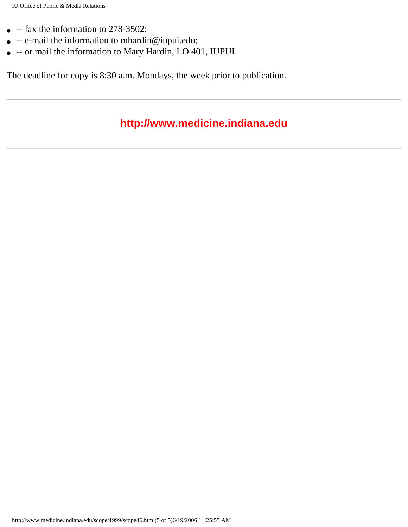- $\bullet$  -- fax the information to 278-3502;
- -- e-mail the information to mhardin@iupui.edu;
- -- or mail the information to Mary Hardin, LO 401, IUPUI.

The deadline for copy is 8:30 a.m. Mondays, the week prior to publication.

#### **http://www.medicine.indiana.edu**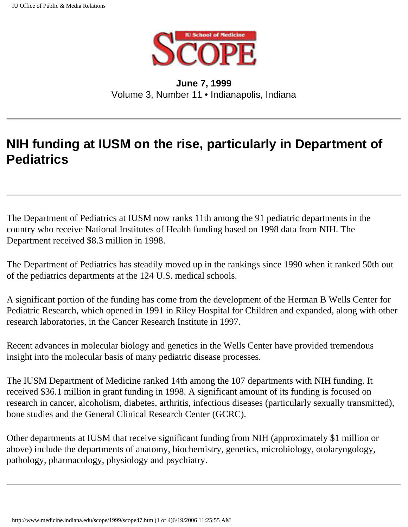

#### **June 7, 1999** Volume 3, Number 11 • Indianapolis, Indiana

## **NIH funding at IUSM on the rise, particularly in Department of Pediatrics**

The Department of Pediatrics at IUSM now ranks 11th among the 91 pediatric departments in the country who receive National Institutes of Health funding based on 1998 data from NIH. The Department received \$8.3 million in 1998.

The Department of Pediatrics has steadily moved up in the rankings since 1990 when it ranked 50th out of the pediatrics departments at the 124 U.S. medical schools.

A significant portion of the funding has come from the development of the Herman B Wells Center for Pediatric Research, which opened in 1991 in Riley Hospital for Children and expanded, along with other research laboratories, in the Cancer Research Institute in 1997.

Recent advances in molecular biology and genetics in the Wells Center have provided tremendous insight into the molecular basis of many pediatric disease processes.

The IUSM Department of Medicine ranked 14th among the 107 departments with NIH funding. It received \$36.1 million in grant funding in 1998. A significant amount of its funding is focused on research in cancer, alcoholism, diabetes, arthritis, infectious diseases (particularly sexually transmitted), bone studies and the General Clinical Research Center (GCRC).

Other departments at IUSM that receive significant funding from NIH (approximately \$1 million or above) include the departments of anatomy, biochemistry, genetics, microbiology, otolaryngology, pathology, pharmacology, physiology and psychiatry.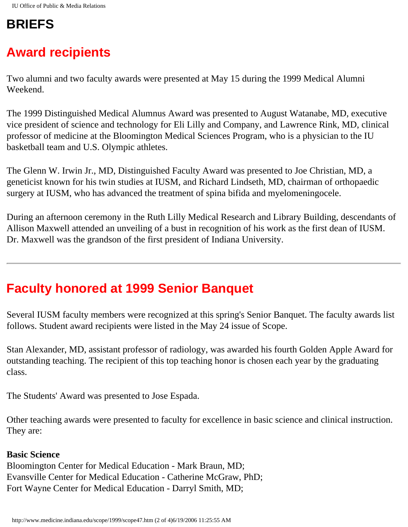## **BRIEFS**

# **Award recipients**

Two alumni and two faculty awards were presented at May 15 during the 1999 Medical Alumni Weekend.

The 1999 Distinguished Medical Alumnus Award was presented to August Watanabe, MD, executive vice president of science and technology for Eli Lilly and Company, and Lawrence Rink, MD, clinical professor of medicine at the Bloomington Medical Sciences Program, who is a physician to the IU basketball team and U.S. Olympic athletes.

The Glenn W. Irwin Jr., MD, Distinguished Faculty Award was presented to Joe Christian, MD, a geneticist known for his twin studies at IUSM, and Richard Lindseth, MD, chairman of orthopaedic surgery at IUSM, who has advanced the treatment of spina bifida and myelomeningocele.

During an afternoon ceremony in the Ruth Lilly Medical Research and Library Building, descendants of Allison Maxwell attended an unveiling of a bust in recognition of his work as the first dean of IUSM. Dr. Maxwell was the grandson of the first president of Indiana University.

## **Faculty honored at 1999 Senior Banquet**

Several IUSM faculty members were recognized at this spring's Senior Banquet. The faculty awards list follows. Student award recipients were listed in the May 24 issue of Scope.

Stan Alexander, MD, assistant professor of radiology, was awarded his fourth Golden Apple Award for outstanding teaching. The recipient of this top teaching honor is chosen each year by the graduating class.

The Students' Award was presented to Jose Espada.

Other teaching awards were presented to faculty for excellence in basic science and clinical instruction. They are:

#### **Basic Science**

Bloomington Center for Medical Education - Mark Braun, MD; Evansville Center for Medical Education - Catherine McGraw, PhD; Fort Wayne Center for Medical Education - Darryl Smith, MD;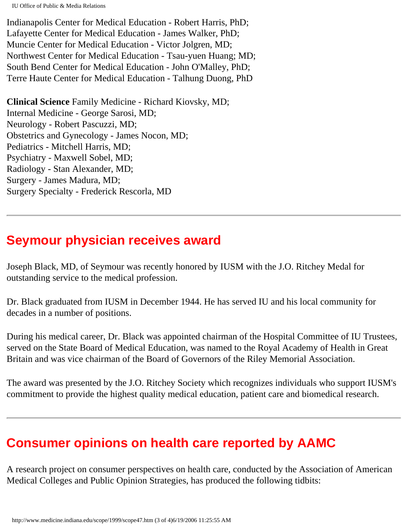Indianapolis Center for Medical Education - Robert Harris, PhD; Lafayette Center for Medical Education - James Walker, PhD; Muncie Center for Medical Education - Victor Jolgren, MD; Northwest Center for Medical Education - Tsau-yuen Huang; MD; South Bend Center for Medical Education - John O'Malley, PhD; Terre Haute Center for Medical Education - Talhung Duong, PhD

**Clinical Science** Family Medicine - Richard Kiovsky, MD; Internal Medicine - George Sarosi, MD; Neurology - Robert Pascuzzi, MD; Obstetrics and Gynecology - James Nocon, MD; Pediatrics - Mitchell Harris, MD; Psychiatry - Maxwell Sobel, MD; Radiology - Stan Alexander, MD; Surgery - James Madura, MD; Surgery Specialty - Frederick Rescorla, MD

#### **Seymour physician receives award**

Joseph Black, MD, of Seymour was recently honored by IUSM with the J.O. Ritchey Medal for outstanding service to the medical profession.

Dr. Black graduated from IUSM in December 1944. He has served IU and his local community for decades in a number of positions.

During his medical career, Dr. Black was appointed chairman of the Hospital Committee of IU Trustees, served on the State Board of Medical Education, was named to the Royal Academy of Health in Great Britain and was vice chairman of the Board of Governors of the Riley Memorial Association.

The award was presented by the J.O. Ritchey Society which recognizes individuals who support IUSM's commitment to provide the highest quality medical education, patient care and biomedical research.

### **Consumer opinions on health care reported by AAMC**

A research project on consumer perspectives on health care, conducted by the Association of American Medical Colleges and Public Opinion Strategies, has produced the following tidbits: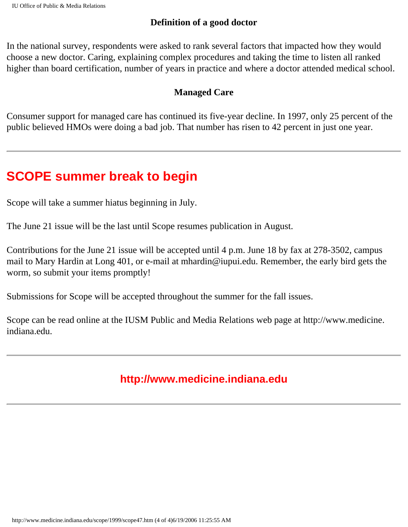#### **Definition of a good doctor**

In the national survey, respondents were asked to rank several factors that impacted how they would choose a new doctor. Caring, explaining complex procedures and taking the time to listen all ranked higher than board certification, number of years in practice and where a doctor attended medical school.

#### **Managed Care**

Consumer support for managed care has continued its five-year decline. In 1997, only 25 percent of the public believed HMOs were doing a bad job. That number has risen to 42 percent in just one year.

## **SCOPE summer break to begin**

Scope will take a summer hiatus beginning in July.

The June 21 issue will be the last until Scope resumes publication in August.

Contributions for the June 21 issue will be accepted until 4 p.m. June 18 by fax at 278-3502, campus mail to Mary Hardin at Long 401, or e-mail at mhardin@iupui.edu. Remember, the early bird gets the worm, so submit your items promptly!

Submissions for Scope will be accepted throughout the summer for the fall issues.

Scope can be read online at the IUSM Public and Media Relations web page at http://www.medicine. indiana.edu.

#### **http://www.medicine.indiana.edu**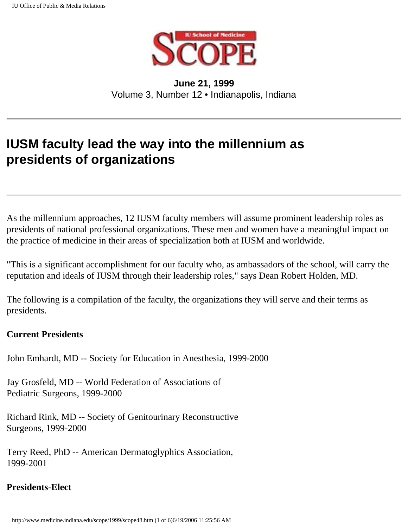

**June 21, 1999** Volume 3, Number 12 • Indianapolis, Indiana

## **IUSM faculty lead the way into the millennium as presidents of organizations**

As the millennium approaches, 12 IUSM faculty members will assume prominent leadership roles as presidents of national professional organizations. These men and women have a meaningful impact on the practice of medicine in their areas of specialization both at IUSM and worldwide.

"This is a significant accomplishment for our faculty who, as ambassadors of the school, will carry the reputation and ideals of IUSM through their leadership roles," says Dean Robert Holden, MD.

The following is a compilation of the faculty, the organizations they will serve and their terms as presidents.

#### **Current Presidents**

John Emhardt, MD -- Society for Education in Anesthesia, 1999-2000

Jay Grosfeld, MD -- World Federation of Associations of Pediatric Surgeons, 1999-2000

Richard Rink, MD -- Society of Genitourinary Reconstructive Surgeons, 1999-2000

Terry Reed, PhD -- American Dermatoglyphics Association, 1999-2001

#### **Presidents-Elect**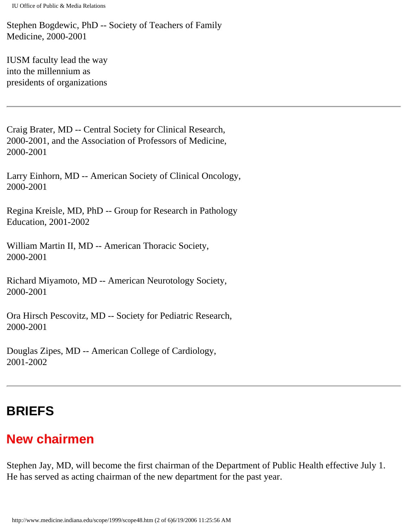Stephen Bogdewic, PhD -- Society of Teachers of Family Medicine, 2000-2001

IUSM faculty lead the way into the millennium as presidents of organizations

Craig Brater, MD -- Central Society for Clinical Research, 2000-2001, and the Association of Professors of Medicine, 2000-2001

Larry Einhorn, MD -- American Society of Clinical Oncology, 2000-2001

Regina Kreisle, MD, PhD -- Group for Research in Pathology Education, 2001-2002

William Martin II, MD -- American Thoracic Society, 2000-2001

Richard Miyamoto, MD -- American Neurotology Society, 2000-2001

Ora Hirsch Pescovitz, MD -- Society for Pediatric Research, 2000-2001

Douglas Zipes, MD -- American College of Cardiology, 2001-2002

## **BRIEFS**

# **New chairmen**

Stephen Jay, MD, will become the first chairman of the Department of Public Health effective July 1. He has served as acting chairman of the new department for the past year.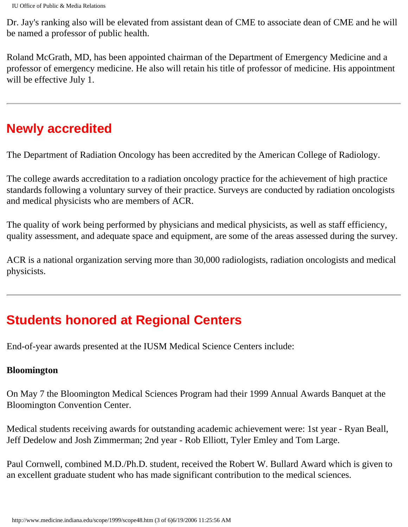Dr. Jay's ranking also will be elevated from assistant dean of CME to associate dean of CME and he will be named a professor of public health.

Roland McGrath, MD, has been appointed chairman of the Department of Emergency Medicine and a professor of emergency medicine. He also will retain his title of professor of medicine. His appointment will be effective July 1.

## **Newly accredited**

The Department of Radiation Oncology has been accredited by the American College of Radiology.

The college awards accreditation to a radiation oncology practice for the achievement of high practice standards following a voluntary survey of their practice. Surveys are conducted by radiation oncologists and medical physicists who are members of ACR.

The quality of work being performed by physicians and medical physicists, as well as staff efficiency, quality assessment, and adequate space and equipment, are some of the areas assessed during the survey.

ACR is a national organization serving more than 30,000 radiologists, radiation oncologists and medical physicists.

## **Students honored at Regional Centers**

End-of-year awards presented at the IUSM Medical Science Centers include:

#### **Bloomington**

On May 7 the Bloomington Medical Sciences Program had their 1999 Annual Awards Banquet at the Bloomington Convention Center.

Medical students receiving awards for outstanding academic achievement were: 1st year - Ryan Beall, Jeff Dedelow and Josh Zimmerman; 2nd year - Rob Elliott, Tyler Emley and Tom Large.

Paul Cornwell, combined M.D./Ph.D. student, received the Robert W. Bullard Award which is given to an excellent graduate student who has made significant contribution to the medical sciences.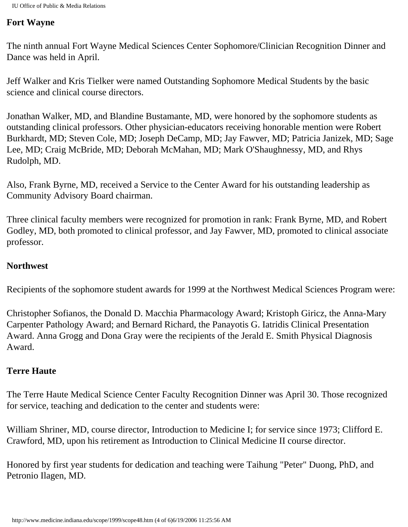#### **Fort Wayne**

The ninth annual Fort Wayne Medical Sciences Center Sophomore/Clinician Recognition Dinner and Dance was held in April.

Jeff Walker and Kris Tielker were named Outstanding Sophomore Medical Students by the basic science and clinical course directors.

Jonathan Walker, MD, and Blandine Bustamante, MD, were honored by the sophomore students as outstanding clinical professors. Other physician-educators receiving honorable mention were Robert Burkhardt, MD; Steven Cole, MD; Joseph DeCamp, MD; Jay Fawver, MD; Patricia Janizek, MD; Sage Lee, MD; Craig McBride, MD; Deborah McMahan, MD; Mark O'Shaughnessy, MD, and Rhys Rudolph, MD.

Also, Frank Byrne, MD, received a Service to the Center Award for his outstanding leadership as Community Advisory Board chairman.

Three clinical faculty members were recognized for promotion in rank: Frank Byrne, MD, and Robert Godley, MD, both promoted to clinical professor, and Jay Fawver, MD, promoted to clinical associate professor.

#### **Northwest**

Recipients of the sophomore student awards for 1999 at the Northwest Medical Sciences Program were:

Christopher Sofianos, the Donald D. Macchia Pharmacology Award; Kristoph Giricz, the Anna-Mary Carpenter Pathology Award; and Bernard Richard, the Panayotis G. Iatridis Clinical Presentation Award. Anna Grogg and Dona Gray were the recipients of the Jerald E. Smith Physical Diagnosis Award.

#### **Terre Haute**

The Terre Haute Medical Science Center Faculty Recognition Dinner was April 30. Those recognized for service, teaching and dedication to the center and students were:

William Shriner, MD, course director, Introduction to Medicine I; for service since 1973; Clifford E. Crawford, MD, upon his retirement as Introduction to Clinical Medicine II course director.

Honored by first year students for dedication and teaching were Taihung "Peter" Duong, PhD, and Petronio Ilagen, MD.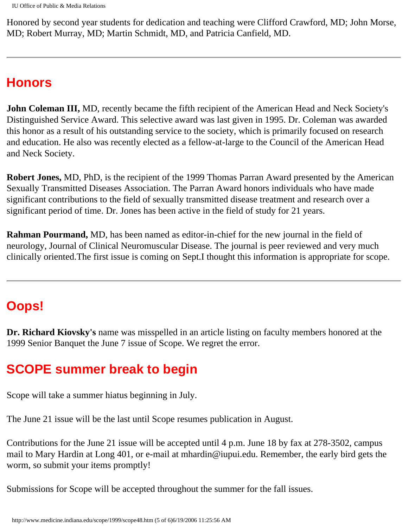Honored by second year students for dedication and teaching were Clifford Crawford, MD; John Morse, MD; Robert Murray, MD; Martin Schmidt, MD, and Patricia Canfield, MD.

#### **Honors**

**John Coleman III,** MD, recently became the fifth recipient of the American Head and Neck Society's Distinguished Service Award. This selective award was last given in 1995. Dr. Coleman was awarded this honor as a result of his outstanding service to the society, which is primarily focused on research and education. He also was recently elected as a fellow-at-large to the Council of the American Head and Neck Society.

**Robert Jones,** MD, PhD, is the recipient of the 1999 Thomas Parran Award presented by the American Sexually Transmitted Diseases Association. The Parran Award honors individuals who have made significant contributions to the field of sexually transmitted disease treatment and research over a significant period of time. Dr. Jones has been active in the field of study for 21 years.

**Rahman Pourmand,** MD, has been named as editor-in-chief for the new journal in the field of neurology, Journal of Clinical Neuromuscular Disease. The journal is peer reviewed and very much clinically oriented.The first issue is coming on Sept.I thought this information is appropriate for scope.

## **Oops!**

**Dr. Richard Kiovsky's** name was misspelled in an article listing on faculty members honored at the 1999 Senior Banquet the June 7 issue of Scope. We regret the error.

### **SCOPE summer break to begin**

Scope will take a summer hiatus beginning in July.

The June 21 issue will be the last until Scope resumes publication in August.

Contributions for the June 21 issue will be accepted until 4 p.m. June 18 by fax at 278-3502, campus mail to Mary Hardin at Long 401, or e-mail at mhardin@iupui.edu. Remember, the early bird gets the worm, so submit your items promptly!

Submissions for Scope will be accepted throughout the summer for the fall issues.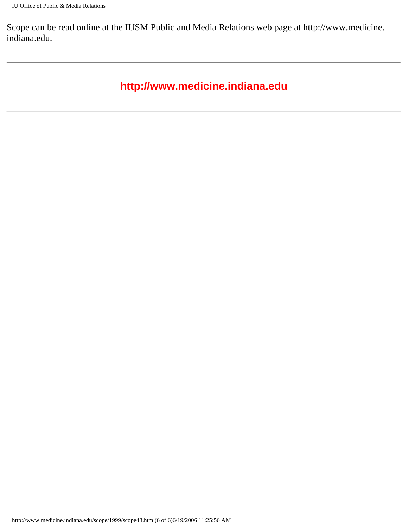Scope can be read online at the IUSM Public and Media Relations web page at http://www.medicine. indiana.edu.

#### **http://www.medicine.indiana.edu**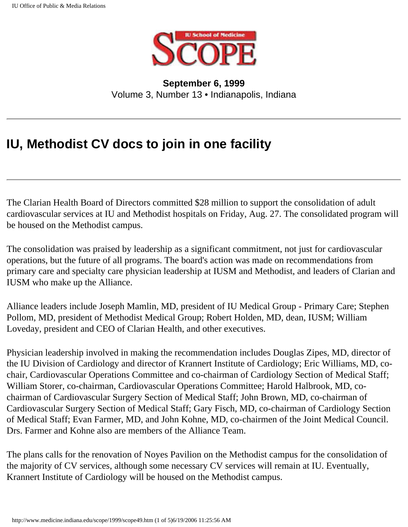

**September 6, 1999** Volume 3, Number 13 • Indianapolis, Indiana

## **IU, Methodist CV docs to join in one facility**

The Clarian Health Board of Directors committed \$28 million to support the consolidation of adult cardiovascular services at IU and Methodist hospitals on Friday, Aug. 27. The consolidated program will be housed on the Methodist campus.

The consolidation was praised by leadership as a significant commitment, not just for cardiovascular operations, but the future of all programs. The board's action was made on recommendations from primary care and specialty care physician leadership at IUSM and Methodist, and leaders of Clarian and IUSM who make up the Alliance.

Alliance leaders include Joseph Mamlin, MD, president of IU Medical Group - Primary Care; Stephen Pollom, MD, president of Methodist Medical Group; Robert Holden, MD, dean, IUSM; William Loveday, president and CEO of Clarian Health, and other executives.

Physician leadership involved in making the recommendation includes Douglas Zipes, MD, director of the IU Division of Cardiology and director of Krannert Institute of Cardiology; Eric Williams, MD, cochair, Cardiovascular Operations Committee and co-chairman of Cardiology Section of Medical Staff; William Storer, co-chairman, Cardiovascular Operations Committee; Harold Halbrook, MD, cochairman of Cardiovascular Surgery Section of Medical Staff; John Brown, MD, co-chairman of Cardiovascular Surgery Section of Medical Staff; Gary Fisch, MD, co-chairman of Cardiology Section of Medical Staff; Evan Farmer, MD, and John Kohne, MD, co-chairmen of the Joint Medical Council. Drs. Farmer and Kohne also are members of the Alliance Team.

The plans calls for the renovation of Noyes Pavilion on the Methodist campus for the consolidation of the majority of CV services, although some necessary CV services will remain at IU. Eventually, Krannert Institute of Cardiology will be housed on the Methodist campus.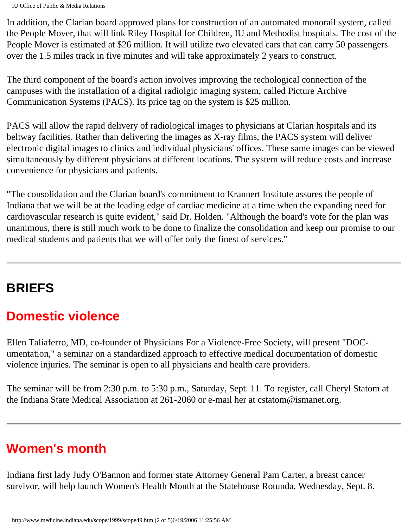In addition, the Clarian board approved plans for construction of an automated monorail system, called the People Mover, that will link Riley Hospital for Children, IU and Methodist hospitals. The cost of the People Mover is estimated at \$26 million. It will utilize two elevated cars that can carry 50 passengers over the 1.5 miles track in five minutes and will take approximately 2 years to construct.

The third component of the board's action involves improving the techological connection of the campuses with the installation of a digital radiolgic imaging system, called Picture Archive Communication Systems (PACS). Its price tag on the system is \$25 million.

PACS will allow the rapid delivery of radiological images to physicians at Clarian hospitals and its beltway facilities. Rather than delivering the images as X-ray films, the PACS system will deliver electronic digital images to clinics and individual physicians' offices. These same images can be viewed simultaneously by different physicians at different locations. The system will reduce costs and increase convenience for physicians and patients.

"The consolidation and the Clarian board's commitment to Krannert Institute assures the people of Indiana that we will be at the leading edge of cardiac medicine at a time when the expanding need for cardiovascular research is quite evident," said Dr. Holden. "Although the board's vote for the plan was unanimous, there is still much work to be done to finalize the consolidation and keep our promise to our medical students and patients that we will offer only the finest of services."

## **BRIEFS**

## **Domestic violence**

Ellen Taliaferro, MD, co-founder of Physicians For a Violence-Free Society, will present "DOCumentation," a seminar on a standardized approach to effective medical documentation of domestic violence injuries. The seminar is open to all physicians and health care providers.

The seminar will be from 2:30 p.m. to 5:30 p.m., Saturday, Sept. 11. To register, call Cheryl Statom at the Indiana State Medical Association at 261-2060 or e-mail her at cstatom@ismanet.org.

## **Women's month**

Indiana first lady Judy O'Bannon and former state Attorney General Pam Carter, a breast cancer survivor, will help launch Women's Health Month at the Statehouse Rotunda, Wednesday, Sept. 8.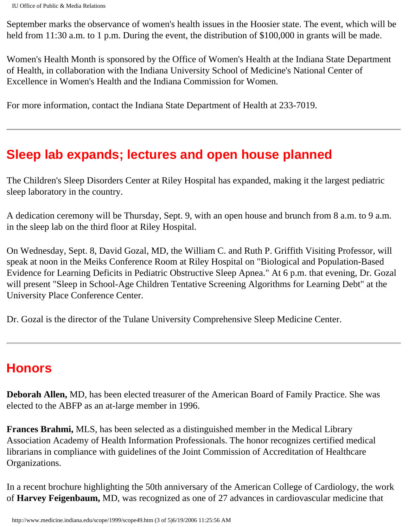September marks the observance of women's health issues in the Hoosier state. The event, which will be held from 11:30 a.m. to 1 p.m. During the event, the distribution of \$100,000 in grants will be made.

Women's Health Month is sponsored by the Office of Women's Health at the Indiana State Department of Health, in collaboration with the Indiana University School of Medicine's National Center of Excellence in Women's Health and the Indiana Commission for Women.

For more information, contact the Indiana State Department of Health at 233-7019.

### **Sleep lab expands; lectures and open house planned**

The Children's Sleep Disorders Center at Riley Hospital has expanded, making it the largest pediatric sleep laboratory in the country.

A dedication ceremony will be Thursday, Sept. 9, with an open house and brunch from 8 a.m. to 9 a.m. in the sleep lab on the third floor at Riley Hospital.

On Wednesday, Sept. 8, David Gozal, MD, the William C. and Ruth P. Griffith Visiting Professor, will speak at noon in the Meiks Conference Room at Riley Hospital on "Biological and Population-Based Evidence for Learning Deficits in Pediatric Obstructive Sleep Apnea." At 6 p.m. that evening, Dr. Gozal will present "Sleep in School-Age Children Tentative Screening Algorithms for Learning Debt" at the University Place Conference Center.

Dr. Gozal is the director of the Tulane University Comprehensive Sleep Medicine Center.

#### **Honors**

**Deborah Allen,** MD, has been elected treasurer of the American Board of Family Practice. She was elected to the ABFP as an at-large member in 1996.

**Frances Brahmi,** MLS, has been selected as a distinguished member in the Medical Library Association Academy of Health Information Professionals. The honor recognizes certified medical librarians in compliance with guidelines of the Joint Commission of Accreditation of Healthcare Organizations.

In a recent brochure highlighting the 50th anniversary of the American College of Cardiology, the work of **Harvey Feigenbaum,** MD, was recognized as one of 27 advances in cardiovascular medicine that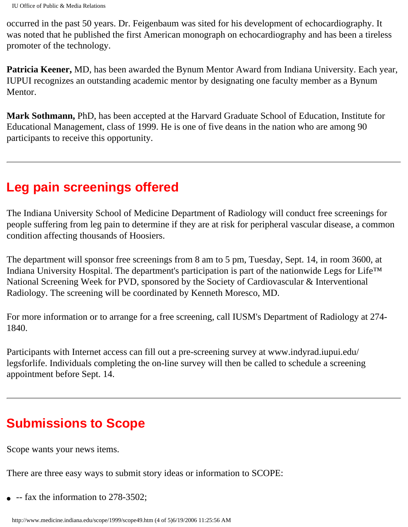occurred in the past 50 years. Dr. Feigenbaum was sited for his development of echocardiography. It was noted that he published the first American monograph on echocardiography and has been a tireless promoter of the technology.

**Patricia Keener,** MD, has been awarded the Bynum Mentor Award from Indiana University. Each year, IUPUI recognizes an outstanding academic mentor by designating one faculty member as a Bynum Mentor.

**Mark Sothmann,** PhD, has been accepted at the Harvard Graduate School of Education, Institute for Educational Management, class of 1999. He is one of five deans in the nation who are among 90 participants to receive this opportunity.

#### **Leg pain screenings offered**

The Indiana University School of Medicine Department of Radiology will conduct free screenings for people suffering from leg pain to determine if they are at risk for peripheral vascular disease, a common condition affecting thousands of Hoosiers.

The department will sponsor free screenings from 8 am to 5 pm, Tuesday, Sept. 14, in room 3600, at Indiana University Hospital. The department's participation is part of the nationwide Legs for Life™ National Screening Week for PVD, sponsored by the Society of Cardiovascular & Interventional Radiology. The screening will be coordinated by Kenneth Moresco, MD.

For more information or to arrange for a free screening, call IUSM's Department of Radiology at 274- 1840.

Participants with Internet access can fill out a pre-screening survey at www.indyrad.iupui.edu/ legsforlife. Individuals completing the on-line survey will then be called to schedule a screening appointment before Sept. 14.

## **Submissions to Scope**

Scope wants your news items.

There are three easy ways to submit story ideas or information to SCOPE:

 $\bullet$  -- fax the information to 278-3502;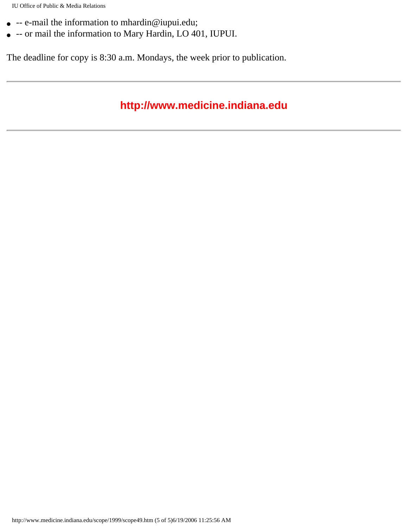- -- e-mail the information to mhardin@iupui.edu;
- -- or mail the information to Mary Hardin, LO 401, IUPUI.

The deadline for copy is 8:30 a.m. Mondays, the week prior to publication.

#### **http://www.medicine.indiana.edu**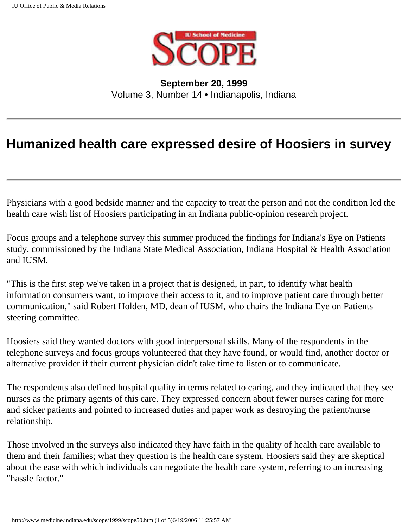

**September 20, 1999** Volume 3, Number 14 • Indianapolis, Indiana

### **Humanized health care expressed desire of Hoosiers in survey**

Physicians with a good bedside manner and the capacity to treat the person and not the condition led the health care wish list of Hoosiers participating in an Indiana public-opinion research project.

Focus groups and a telephone survey this summer produced the findings for Indiana's Eye on Patients study, commissioned by the Indiana State Medical Association, Indiana Hospital & Health Association and IUSM.

"This is the first step we've taken in a project that is designed, in part, to identify what health information consumers want, to improve their access to it, and to improve patient care through better communication," said Robert Holden, MD, dean of IUSM, who chairs the Indiana Eye on Patients steering committee.

Hoosiers said they wanted doctors with good interpersonal skills. Many of the respondents in the telephone surveys and focus groups volunteered that they have found, or would find, another doctor or alternative provider if their current physician didn't take time to listen or to communicate.

The respondents also defined hospital quality in terms related to caring, and they indicated that they see nurses as the primary agents of this care. They expressed concern about fewer nurses caring for more and sicker patients and pointed to increased duties and paper work as destroying the patient/nurse relationship.

Those involved in the surveys also indicated they have faith in the quality of health care available to them and their families; what they question is the health care system. Hoosiers said they are skeptical about the ease with which individuals can negotiate the health care system, referring to an increasing "hassle factor."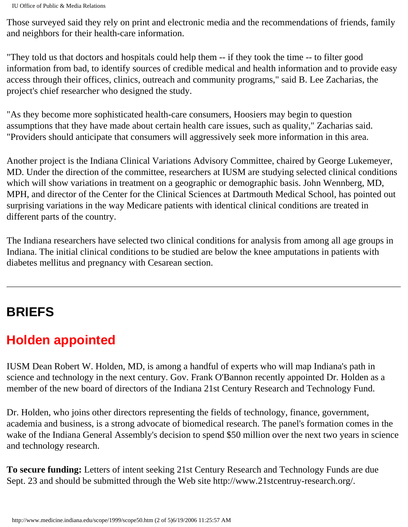Those surveyed said they rely on print and electronic media and the recommendations of friends, family and neighbors for their health-care information.

"They told us that doctors and hospitals could help them -- if they took the time -- to filter good information from bad, to identify sources of credible medical and health information and to provide easy access through their offices, clinics, outreach and community programs," said B. Lee Zacharias, the project's chief researcher who designed the study.

"As they become more sophisticated health-care consumers, Hoosiers may begin to question assumptions that they have made about certain health care issues, such as quality," Zacharias said. "Providers should anticipate that consumers will aggressively seek more information in this area.

Another project is the Indiana Clinical Variations Advisory Committee, chaired by George Lukemeyer, MD. Under the direction of the committee, researchers at IUSM are studying selected clinical conditions which will show variations in treatment on a geographic or demographic basis. John Wennberg, MD, MPH, and director of the Center for the Clinical Sciences at Dartmouth Medical School, has pointed out surprising variations in the way Medicare patients with identical clinical conditions are treated in different parts of the country.

The Indiana researchers have selected two clinical conditions for analysis from among all age groups in Indiana. The initial clinical conditions to be studied are below the knee amputations in patients with diabetes mellitus and pregnancy with Cesarean section.

## **BRIEFS**

# **Holden appointed**

IUSM Dean Robert W. Holden, MD, is among a handful of experts who will map Indiana's path in science and technology in the next century. Gov. Frank O'Bannon recently appointed Dr. Holden as a member of the new board of directors of the Indiana 21st Century Research and Technology Fund.

Dr. Holden, who joins other directors representing the fields of technology, finance, government, academia and business, is a strong advocate of biomedical research. The panel's formation comes in the wake of the Indiana General Assembly's decision to spend \$50 million over the next two years in science and technology research.

**To secure funding:** Letters of intent seeking 21st Century Research and Technology Funds are due Sept. 23 and should be submitted through the Web site http://www.21stcentruy-research.org/.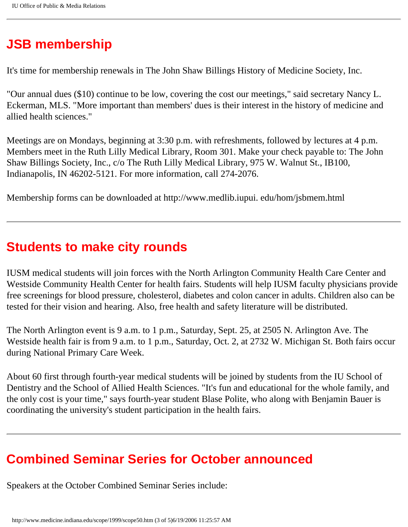## **JSB membership**

It's time for membership renewals in The John Shaw Billings History of Medicine Society, Inc.

"Our annual dues (\$10) continue to be low, covering the cost our meetings," said secretary Nancy L. Eckerman, MLS. "More important than members' dues is their interest in the history of medicine and allied health sciences."

Meetings are on Mondays, beginning at 3:30 p.m. with refreshments, followed by lectures at 4 p.m. Members meet in the Ruth Lilly Medical Library, Room 301. Make your check payable to: The John Shaw Billings Society, Inc., c/o The Ruth Lilly Medical Library, 975 W. Walnut St., IB100, Indianapolis, IN 46202-5121. For more information, call 274-2076.

Membership forms can be downloaded at http://www.medlib.iupui. edu/hom/jsbmem.html

### **Students to make city rounds**

IUSM medical students will join forces with the North Arlington Community Health Care Center and Westside Community Health Center for health fairs. Students will help IUSM faculty physicians provide free screenings for blood pressure, cholesterol, diabetes and colon cancer in adults. Children also can be tested for their vision and hearing. Also, free health and safety literature will be distributed.

The North Arlington event is 9 a.m. to 1 p.m., Saturday, Sept. 25, at 2505 N. Arlington Ave. The Westside health fair is from 9 a.m. to 1 p.m., Saturday, Oct. 2, at 2732 W. Michigan St. Both fairs occur during National Primary Care Week.

About 60 first through fourth-year medical students will be joined by students from the IU School of Dentistry and the School of Allied Health Sciences. "It's fun and educational for the whole family, and the only cost is your time," says fourth-year student Blase Polite, who along with Benjamin Bauer is coordinating the university's student participation in the health fairs.

## **Combined Seminar Series for October announced**

Speakers at the October Combined Seminar Series include: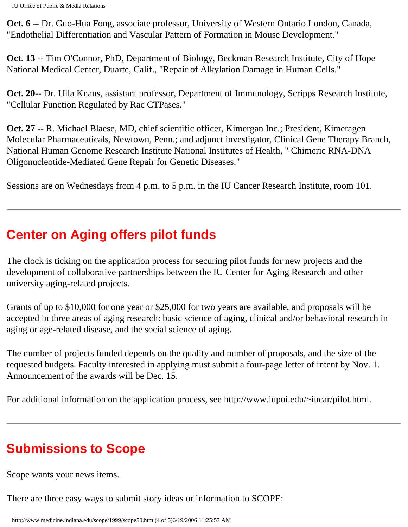**Oct. 6** -- Dr. Guo-Hua Fong, associate professor, University of Western Ontario London, Canada, "Endothelial Differentiation and Vascular Pattern of Formation in Mouse Development."

**Oct. 13** -- Tim O'Connor, PhD, Department of Biology, Beckman Research Institute, City of Hope National Medical Center, Duarte, Calif., "Repair of Alkylation Damage in Human Cells."

**Oct. 20**-- Dr. Ulla Knaus, assistant professor, Department of Immunology, Scripps Research Institute, "Cellular Function Regulated by Rac CTPases."

**Oct. 27** -- R. Michael Blaese, MD, chief scientific officer, Kimergan Inc.; President, Kimeragen Molecular Pharmaceuticals, Newtown, Penn.; and adjunct investigator, Clinical Gene Therapy Branch, National Human Genome Research Institute National Institutes of Health, " Chimeric RNA-DNA Oligonucleotide-Mediated Gene Repair for Genetic Diseases."

Sessions are on Wednesdays from 4 p.m. to 5 p.m. in the IU Cancer Research Institute, room 101.

## **Center on Aging offers pilot funds**

The clock is ticking on the application process for securing pilot funds for new projects and the development of collaborative partnerships between the IU Center for Aging Research and other university aging-related projects.

Grants of up to \$10,000 for one year or \$25,000 for two years are available, and proposals will be accepted in three areas of aging research: basic science of aging, clinical and/or behavioral research in aging or age-related disease, and the social science of aging.

The number of projects funded depends on the quality and number of proposals, and the size of the requested budgets. Faculty interested in applying must submit a four-page letter of intent by Nov. 1. Announcement of the awards will be Dec. 15.

For additional information on the application process, see http://www.iupui.edu/~iucar/pilot.html.

## **Submissions to Scope**

Scope wants your news items.

There are three easy ways to submit story ideas or information to SCOPE: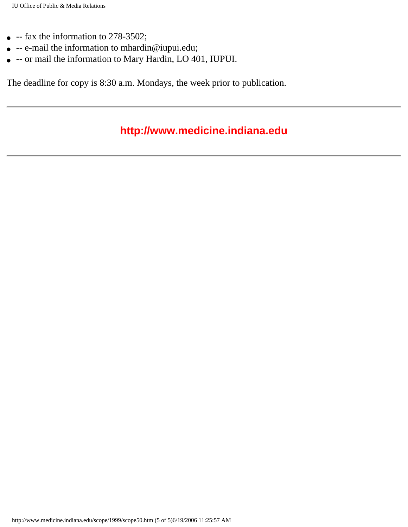- $\bullet$  -- fax the information to 278-3502;
- $\bullet$  -- e-mail the information to mhardin@iupui.edu;
- -- or mail the information to Mary Hardin, LO 401, IUPUI.

The deadline for copy is 8:30 a.m. Mondays, the week prior to publication.

#### **http://www.medicine.indiana.edu**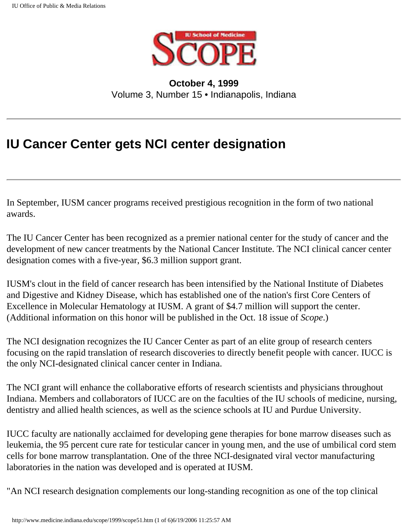

**October 4, 1999** Volume 3, Number 15 • Indianapolis, Indiana

## **IU Cancer Center gets NCI center designation**

In September, IUSM cancer programs received prestigious recognition in the form of two national awards.

The IU Cancer Center has been recognized as a premier national center for the study of cancer and the development of new cancer treatments by the National Cancer Institute. The NCI clinical cancer center designation comes with a five-year, \$6.3 million support grant.

IUSM's clout in the field of cancer research has been intensified by the National Institute of Diabetes and Digestive and Kidney Disease, which has established one of the nation's first Core Centers of Excellence in Molecular Hematology at IUSM. A grant of \$4.7 million will support the center. (Additional information on this honor will be published in the Oct. 18 issue of *Scope*.)

The NCI designation recognizes the IU Cancer Center as part of an elite group of research centers focusing on the rapid translation of research discoveries to directly benefit people with cancer. IUCC is the only NCI-designated clinical cancer center in Indiana.

The NCI grant will enhance the collaborative efforts of research scientists and physicians throughout Indiana. Members and collaborators of IUCC are on the faculties of the IU schools of medicine, nursing, dentistry and allied health sciences, as well as the science schools at IU and Purdue University.

IUCC faculty are nationally acclaimed for developing gene therapies for bone marrow diseases such as leukemia, the 95 percent cure rate for testicular cancer in young men, and the use of umbilical cord stem cells for bone marrow transplantation. One of the three NCI-designated viral vector manufacturing laboratories in the nation was developed and is operated at IUSM.

"An NCI research designation complements our long-standing recognition as one of the top clinical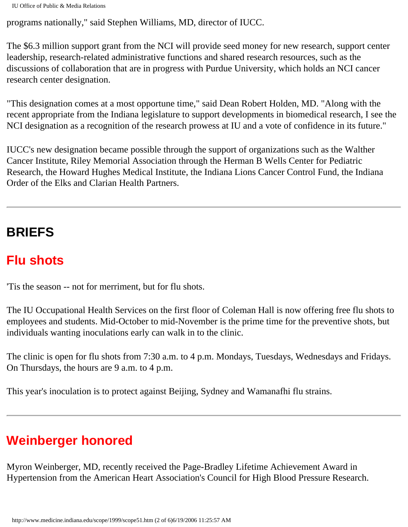programs nationally," said Stephen Williams, MD, director of IUCC.

The \$6.3 million support grant from the NCI will provide seed money for new research, support center leadership, research-related administrative functions and shared research resources, such as the discussions of collaboration that are in progress with Purdue University, which holds an NCI cancer research center designation.

"This designation comes at a most opportune time," said Dean Robert Holden, MD. "Along with the recent appropriate from the Indiana legislature to support developments in biomedical research, I see the NCI designation as a recognition of the research prowess at IU and a vote of confidence in its future."

IUCC's new designation became possible through the support of organizations such as the Walther Cancer Institute, Riley Memorial Association through the Herman B Wells Center for Pediatric Research, the Howard Hughes Medical Institute, the Indiana Lions Cancer Control Fund, the Indiana Order of the Elks and Clarian Health Partners.

## **BRIEFS**

## **Flu shots**

'Tis the season -- not for merriment, but for flu shots.

The IU Occupational Health Services on the first floor of Coleman Hall is now offering free flu shots to employees and students. Mid-October to mid-November is the prime time for the preventive shots, but individuals wanting inoculations early can walk in to the clinic.

The clinic is open for flu shots from 7:30 a.m. to 4 p.m. Mondays, Tuesdays, Wednesdays and Fridays. On Thursdays, the hours are 9 a.m. to 4 p.m.

This year's inoculation is to protect against Beijing, Sydney and Wamanafhi flu strains.

## **Weinberger honored**

Myron Weinberger, MD, recently received the Page-Bradley Lifetime Achievement Award in Hypertension from the American Heart Association's Council for High Blood Pressure Research.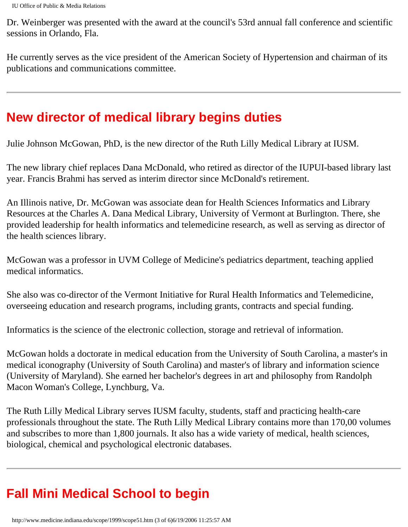Dr. Weinberger was presented with the award at the council's 53rd annual fall conference and scientific sessions in Orlando, Fla.

He currently serves as the vice president of the American Society of Hypertension and chairman of its publications and communications committee.

## **New director of medical library begins duties**

Julie Johnson McGowan, PhD, is the new director of the Ruth Lilly Medical Library at IUSM.

The new library chief replaces Dana McDonald, who retired as director of the IUPUI-based library last year. Francis Brahmi has served as interim director since McDonald's retirement.

An Illinois native, Dr. McGowan was associate dean for Health Sciences Informatics and Library Resources at the Charles A. Dana Medical Library, University of Vermont at Burlington. There, she provided leadership for health informatics and telemedicine research, as well as serving as director of the health sciences library.

McGowan was a professor in UVM College of Medicine's pediatrics department, teaching applied medical informatics.

She also was co-director of the Vermont Initiative for Rural Health Informatics and Telemedicine, overseeing education and research programs, including grants, contracts and special funding.

Informatics is the science of the electronic collection, storage and retrieval of information.

McGowan holds a doctorate in medical education from the University of South Carolina, a master's in medical iconography (University of South Carolina) and master's of library and information science (University of Maryland). She earned her bachelor's degrees in art and philosophy from Randolph Macon Woman's College, Lynchburg, Va.

The Ruth Lilly Medical Library serves IUSM faculty, students, staff and practicing health-care professionals throughout the state. The Ruth Lilly Medical Library contains more than 170,00 volumes and subscribes to more than 1,800 journals. It also has a wide variety of medical, health sciences, biological, chemical and psychological electronic databases.

# **Fall Mini Medical School to begin**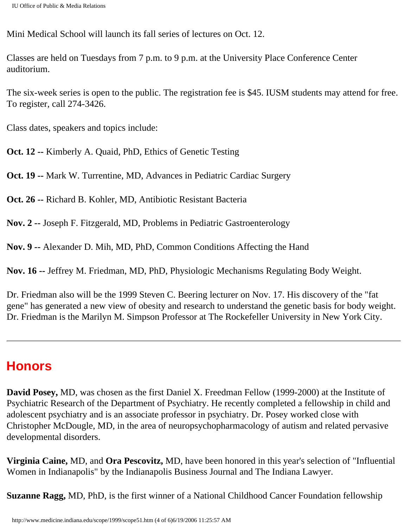Mini Medical School will launch its fall series of lectures on Oct. 12.

Classes are held on Tuesdays from 7 p.m. to 9 p.m. at the University Place Conference Center auditorium.

The six-week series is open to the public. The registration fee is \$45. IUSM students may attend for free. To register, call 274-3426.

Class dates, speakers and topics include:

**Oct. 12 --** Kimberly A. Quaid, PhD, Ethics of Genetic Testing

**Oct. 19 --** Mark W. Turrentine, MD, Advances in Pediatric Cardiac Surgery

**Oct. 26 --** Richard B. Kohler, MD, Antibiotic Resistant Bacteria

**Nov. 2 --** Joseph F. Fitzgerald, MD, Problems in Pediatric Gastroenterology

**Nov. 9 --** Alexander D. Mih, MD, PhD, Common Conditions Affecting the Hand

**Nov. 16 --** Jeffrey M. Friedman, MD, PhD, Physiologic Mechanisms Regulating Body Weight.

Dr. Friedman also will be the 1999 Steven C. Beering lecturer on Nov. 17. His discovery of the "fat gene" has generated a new view of obesity and research to understand the genetic basis for body weight. Dr. Friedman is the Marilyn M. Simpson Professor at The Rockefeller University in New York City.

#### **Honors**

**David Posey,** MD, was chosen as the first Daniel X. Freedman Fellow (1999-2000) at the Institute of Psychiatric Research of the Department of Psychiatry. He recently completed a fellowship in child and adolescent psychiatry and is an associate professor in psychiatry. Dr. Posey worked close with Christopher McDougle, MD, in the area of neuropsychopharmacology of autism and related pervasive developmental disorders.

**Virginia Caine,** MD, and **Ora Pescovitz,** MD, have been honored in this year's selection of "Influential Women in Indianapolis" by the Indianapolis Business Journal and The Indiana Lawyer.

**Suzanne Ragg,** MD, PhD, is the first winner of a National Childhood Cancer Foundation fellowship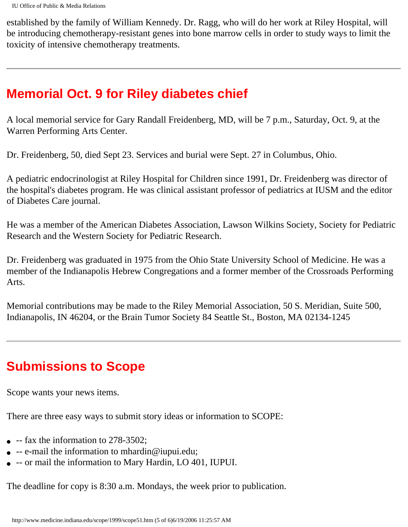established by the family of William Kennedy. Dr. Ragg, who will do her work at Riley Hospital, will be introducing chemotherapy-resistant genes into bone marrow cells in order to study ways to limit the toxicity of intensive chemotherapy treatments.

# **Memorial Oct. 9 for Riley diabetes chief**

A local memorial service for Gary Randall Freidenberg, MD, will be 7 p.m., Saturday, Oct. 9, at the Warren Performing Arts Center.

Dr. Freidenberg, 50, died Sept 23. Services and burial were Sept. 27 in Columbus, Ohio.

A pediatric endocrinologist at Riley Hospital for Children since 1991, Dr. Freidenberg was director of the hospital's diabetes program. He was clinical assistant professor of pediatrics at IUSM and the editor of Diabetes Care journal.

He was a member of the American Diabetes Association, Lawson Wilkins Society, Society for Pediatric Research and the Western Society for Pediatric Research.

Dr. Freidenberg was graduated in 1975 from the Ohio State University School of Medicine. He was a member of the Indianapolis Hebrew Congregations and a former member of the Crossroads Performing Arts.

Memorial contributions may be made to the Riley Memorial Association, 50 S. Meridian, Suite 500, Indianapolis, IN 46204, or the Brain Tumor Society 84 Seattle St., Boston, MA 02134-1245

# **Submissions to Scope**

Scope wants your news items.

There are three easy ways to submit story ideas or information to SCOPE:

- $\bullet$  -- fax the information to 278-3502;
- $\bullet$  -- e-mail the information to mhardin@iupui.edu;
- -- or mail the information to Mary Hardin, LO 401, IUPUI.

The deadline for copy is 8:30 a.m. Mondays, the week prior to publication.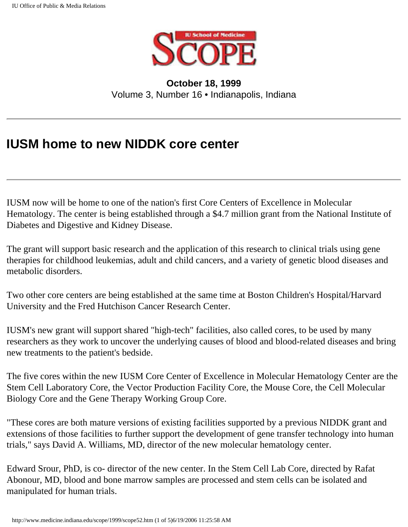

**October 18, 1999** Volume 3, Number 16 • Indianapolis, Indiana

## **IUSM home to new NIDDK core center**

IUSM now will be home to one of the nation's first Core Centers of Excellence in Molecular Hematology. The center is being established through a \$4.7 million grant from the National Institute of Diabetes and Digestive and Kidney Disease.

The grant will support basic research and the application of this research to clinical trials using gene therapies for childhood leukemias, adult and child cancers, and a variety of genetic blood diseases and metabolic disorders.

Two other core centers are being established at the same time at Boston Children's Hospital/Harvard University and the Fred Hutchison Cancer Research Center.

IUSM's new grant will support shared "high-tech" facilities, also called cores, to be used by many researchers as they work to uncover the underlying causes of blood and blood-related diseases and bring new treatments to the patient's bedside.

The five cores within the new IUSM Core Center of Excellence in Molecular Hematology Center are the Stem Cell Laboratory Core, the Vector Production Facility Core, the Mouse Core, the Cell Molecular Biology Core and the Gene Therapy Working Group Core.

"These cores are both mature versions of existing facilities supported by a previous NIDDK grant and extensions of those facilities to further support the development of gene transfer technology into human trials," says David A. Williams, MD, director of the new molecular hematology center.

Edward Srour, PhD, is co- director of the new center. In the Stem Cell Lab Core, directed by Rafat Abonour, MD, blood and bone marrow samples are processed and stem cells can be isolated and manipulated for human trials.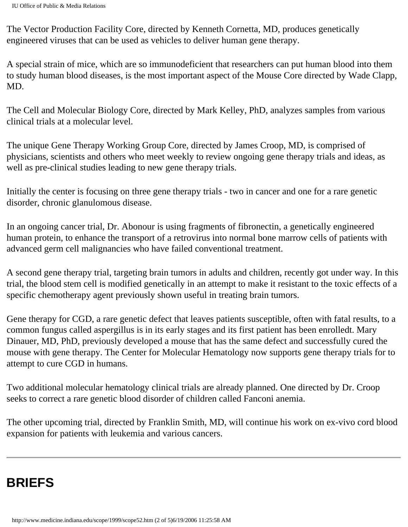The Vector Production Facility Core, directed by Kenneth Cornetta, MD, produces genetically engineered viruses that can be used as vehicles to deliver human gene therapy.

A special strain of mice, which are so immunodeficient that researchers can put human blood into them to study human blood diseases, is the most important aspect of the Mouse Core directed by Wade Clapp, MD.

The Cell and Molecular Biology Core, directed by Mark Kelley, PhD, analyzes samples from various clinical trials at a molecular level.

The unique Gene Therapy Working Group Core, directed by James Croop, MD, is comprised of physicians, scientists and others who meet weekly to review ongoing gene therapy trials and ideas, as well as pre-clinical studies leading to new gene therapy trials.

Initially the center is focusing on three gene therapy trials - two in cancer and one for a rare genetic disorder, chronic glanulomous disease.

In an ongoing cancer trial, Dr. Abonour is using fragments of fibronectin, a genetically engineered human protein, to enhance the transport of a retrovirus into normal bone marrow cells of patients with advanced germ cell malignancies who have failed conventional treatment.

A second gene therapy trial, targeting brain tumors in adults and children, recently got under way. In this trial, the blood stem cell is modified genetically in an attempt to make it resistant to the toxic effects of a specific chemotherapy agent previously shown useful in treating brain tumors.

Gene therapy for CGD, a rare genetic defect that leaves patients susceptible, often with fatal results, to a common fungus called aspergillus is in its early stages and its first patient has been enrolledt. Mary Dinauer, MD, PhD, previously developed a mouse that has the same defect and successfully cured the mouse with gene therapy. The Center for Molecular Hematology now supports gene therapy trials for to attempt to cure CGD in humans.

Two additional molecular hematology clinical trials are already planned. One directed by Dr. Croop seeks to correct a rare genetic blood disorder of children called Fanconi anemia.

The other upcoming trial, directed by Franklin Smith, MD, will continue his work on ex-vivo cord blood expansion for patients with leukemia and various cancers.

# **BRIEFS**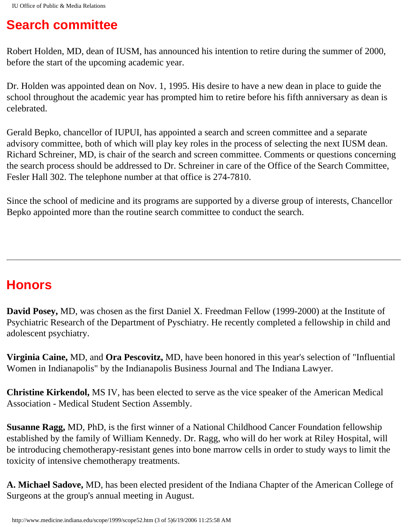### **Search committee**

Robert Holden, MD, dean of IUSM, has announced his intention to retire during the summer of 2000, before the start of the upcoming academic year.

Dr. Holden was appointed dean on Nov. 1, 1995. His desire to have a new dean in place to guide the school throughout the academic year has prompted him to retire before his fifth anniversary as dean is celebrated.

Gerald Bepko, chancellor of IUPUI, has appointed a search and screen committee and a separate advisory committee, both of which will play key roles in the process of selecting the next IUSM dean. Richard Schreiner, MD, is chair of the search and screen committee. Comments or questions concerning the search process should be addressed to Dr. Schreiner in care of the Office of the Search Committee, Fesler Hall 302. The telephone number at that office is 274-7810.

Since the school of medicine and its programs are supported by a diverse group of interests, Chancellor Bepko appointed more than the routine search committee to conduct the search.

# **Honors**

**David Posey,** MD, was chosen as the first Daniel X. Freedman Fellow (1999-2000) at the Institute of Psychiatric Research of the Department of Pyschiatry. He recently completed a fellowship in child and adolescent psychiatry.

**Virginia Caine,** MD, and **Ora Pescovitz,** MD, have been honored in this year's selection of "Influential Women in Indianapolis" by the Indianapolis Business Journal and The Indiana Lawyer.

**Christine Kirkendol,** MS IV, has been elected to serve as the vice speaker of the American Medical Association - Medical Student Section Assembly.

**Susanne Ragg,** MD, PhD, is the first winner of a National Childhood Cancer Foundation fellowship established by the family of William Kennedy. Dr. Ragg, who will do her work at Riley Hospital, will be introducing chemotherapy-resistant genes into bone marrow cells in order to study ways to limit the toxicity of intensive chemotherapy treatments.

**A. Michael Sadove,** MD, has been elected president of the Indiana Chapter of the American College of Surgeons at the group's annual meeting in August.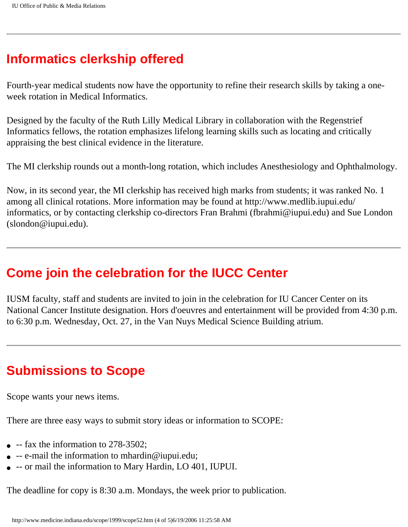### **Informatics clerkship offered**

Fourth-year medical students now have the opportunity to refine their research skills by taking a oneweek rotation in Medical Informatics.

Designed by the faculty of the Ruth Lilly Medical Library in collaboration with the Regenstrief Informatics fellows, the rotation emphasizes lifelong learning skills such as locating and critically appraising the best clinical evidence in the literature.

The MI clerkship rounds out a month-long rotation, which includes Anesthesiology and Ophthalmology.

Now, in its second year, the MI clerkship has received high marks from students; it was ranked No. 1 among all clinical rotations. More information may be found at http://www.medlib.iupui.edu/ informatics, or by contacting clerkship co-directors Fran Brahmi (fbrahmi@iupui.edu) and Sue London (slondon@iupui.edu).

#### **Come join the celebration for the IUCC Center**

IUSM faculty, staff and students are invited to join in the celebration for IU Cancer Center on its National Cancer Institute designation. Hors d'oeuvres and entertainment will be provided from 4:30 p.m. to 6:30 p.m. Wednesday, Oct. 27, in the Van Nuys Medical Science Building atrium.

#### **Submissions to Scope**

Scope wants your news items.

There are three easy ways to submit story ideas or information to SCOPE:

- $\bullet$  -- fax the information to 278-3502;
- $\bullet$  -- e-mail the information to mhardin@iupui.edu;
- -- or mail the information to Mary Hardin, LO 401, IUPUI.

The deadline for copy is 8:30 a.m. Mondays, the week prior to publication.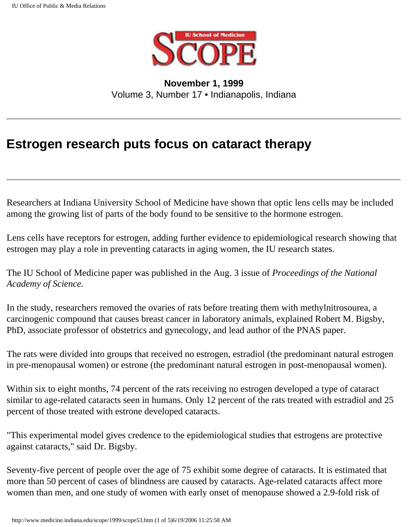

**November 1, 1999** Volume 3, Number 17 • Indianapolis, Indiana

### **Estrogen research puts focus on cataract therapy**

Researchers at Indiana University School of Medicine have shown that optic lens cells may be included among the growing list of parts of the body found to be sensitive to the hormone estrogen.

Lens cells have receptors for estrogen, adding further evidence to epidemiological research showing that estrogen may play a role in preventing cataracts in aging women, the IU research states.

The IU School of Medicine paper was published in the Aug. 3 issue of *Proceedings of the National Academy of Science.*

In the study, researchers removed the ovaries of rats before treating them with methylnitrosourea, a carcinogenic compound that causes breast cancer in laboratory animals, explained Robert M. Bigsby, PhD, associate professor of obstetrics and gynecology, and lead author of the PNAS paper.

The rats were divided into groups that received no estrogen, estradiol (the predominant natural estrogen in pre-menopausal women) or estrone (the predominant natural estrogen in post-menopausal women).

Within six to eight months, 74 percent of the rats receiving no estrogen developed a type of cataract similar to age-related cataracts seen in humans. Only 12 percent of the rats treated with estradiol and 25 percent of those treated with estrone developed cataracts.

"This experimental model gives credence to the epidemiological studies that estrogens are protective against cataracts," said Dr. Bigsby.

Seventy-five percent of people over the age of 75 exhibit some degree of cataracts. It is estimated that more than 50 percent of cases of blindness are caused by cataracts. Age-related cataracts affect more women than men, and one study of women with early onset of menopause showed a 2.9-fold risk of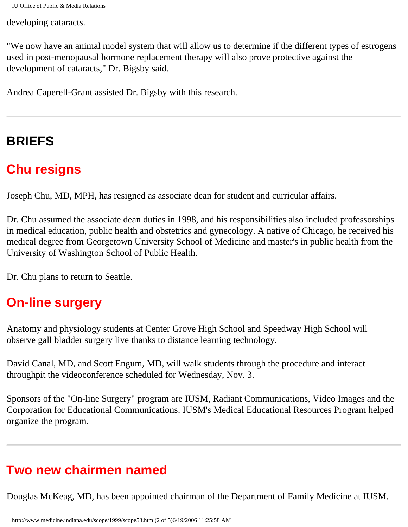IU Office of Public & Media Relations

developing cataracts.

"We now have an animal model system that will allow us to determine if the different types of estrogens used in post-menopausal hormone replacement therapy will also prove protective against the development of cataracts," Dr. Bigsby said.

Andrea Caperell-Grant assisted Dr. Bigsby with this research.

# **BRIEFS**

## **Chu resigns**

Joseph Chu, MD, MPH, has resigned as associate dean for student and curricular affairs.

Dr. Chu assumed the associate dean duties in 1998, and his responsibilities also included professorships in medical education, public health and obstetrics and gynecology. A native of Chicago, he received his medical degree from Georgetown University School of Medicine and master's in public health from the University of Washington School of Public Health.

Dr. Chu plans to return to Seattle.

### **On-line surgery**

Anatomy and physiology students at Center Grove High School and Speedway High School will observe gall bladder surgery live thanks to distance learning technology.

David Canal, MD, and Scott Engum, MD, will walk students through the procedure and interact throughpit the videoconference scheduled for Wednesday, Nov. 3.

Sponsors of the "On-line Surgery" program are IUSM, Radiant Communications, Video Images and the Corporation for Educational Communications. IUSM's Medical Educational Resources Program helped organize the program.

### **Two new chairmen named**

Douglas McKeag, MD, has been appointed chairman of the Department of Family Medicine at IUSM.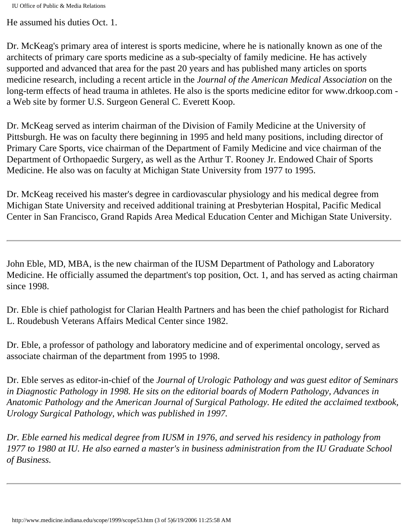IU Office of Public & Media Relations

He assumed his duties Oct. 1.

Dr. McKeag's primary area of interest is sports medicine, where he is nationally known as one of the architects of primary care sports medicine as a sub-specialty of family medicine. He has actively supported and advanced that area for the past 20 years and has published many articles on sports medicine research, including a recent article in the *Journal of the American Medical Association* on the long-term effects of head trauma in athletes. He also is the sports medicine editor for www.drkoop.com a Web site by former U.S. Surgeon General C. Everett Koop.

Dr. McKeag served as interim chairman of the Division of Family Medicine at the University of Pittsburgh. He was on faculty there beginning in 1995 and held many positions, including director of Primary Care Sports, vice chairman of the Department of Family Medicine and vice chairman of the Department of Orthopaedic Surgery, as well as the Arthur T. Rooney Jr. Endowed Chair of Sports Medicine. He also was on faculty at Michigan State University from 1977 to 1995.

Dr. McKeag received his master's degree in cardiovascular physiology and his medical degree from Michigan State University and received additional training at Presbyterian Hospital, Pacific Medical Center in San Francisco, Grand Rapids Area Medical Education Center and Michigan State University.

John Eble, MD, MBA, is the new chairman of the IUSM Department of Pathology and Laboratory Medicine. He officially assumed the department's top position, Oct. 1, and has served as acting chairman since 1998.

Dr. Eble is chief pathologist for Clarian Health Partners and has been the chief pathologist for Richard L. Roudebush Veterans Affairs Medical Center since 1982.

Dr. Eble, a professor of pathology and laboratory medicine and of experimental oncology, served as associate chairman of the department from 1995 to 1998.

Dr. Eble serves as editor-in-chief of the *Journal of Urologic Pathology and was guest editor of Seminars in Diagnostic Pathology in 1998. He sits on the editorial boards of Modern Pathology, Advances in Anatomic Pathology and the American Journal of Surgical Pathology. He edited the acclaimed textbook, Urology Surgical Pathology, which was published in 1997.* 

*Dr. Eble earned his medical degree from IUSM in 1976, and served his residency in pathology from 1977 to 1980 at IU. He also earned a master's in business administration from the IU Graduate School of Business.*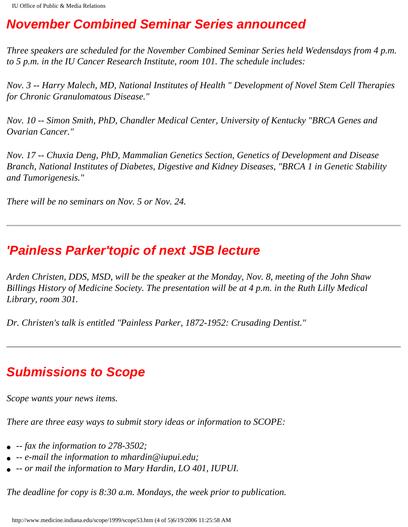## **November Combined Seminar Series announced**

*Three speakers are scheduled for the November Combined Seminar Series held Wedensdays from 4 p.m. to 5 p.m. in the IU Cancer Research Institute, room 101. The schedule includes:* 

*Nov. 3 -- Harry Malech, MD, National Institutes of Health " Development of Novel Stem Cell Therapies for Chronic Granulomatous Disease."* 

*Nov. 10 -- Simon Smith, PhD, Chandler Medical Center, University of Kentucky "BRCA Genes and Ovarian Cancer."* 

*Nov. 17 -- Chuxia Deng, PhD, Mammalian Genetics Section, Genetics of Development and Disease Branch, National Institutes of Diabetes, Digestive and Kidney Diseases, "BRCA 1 in Genetic Stability and Tumorigenesis."* 

*There will be no seminars on Nov. 5 or Nov. 24.* 

### **'Painless Parker'topic of next JSB lecture**

*Arden Christen, DDS, MSD, will be the speaker at the Monday, Nov. 8, meeting of the John Shaw Billings History of Medicine Society. The presentation will be at 4 p.m. in the Ruth Lilly Medical Library, room 301.* 

*Dr. Christen's talk is entitled "Painless Parker, 1872-1952: Crusading Dentist."* 

### **Submissions to Scope**

*Scope wants your news items.* 

*There are three easy ways to submit story ideas or information to SCOPE:* 

- *-- fax the information to 278-3502;*
- *-- e-mail the information to mhardin@iupui.edu;*
- *-- or mail the information to Mary Hardin, LO 401, IUPUI.*

*The deadline for copy is 8:30 a.m. Mondays, the week prior to publication.*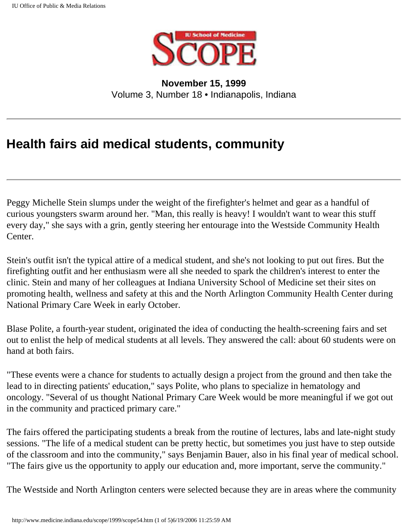

**November 15, 1999** Volume 3, Number 18 • Indianapolis, Indiana

## **Health fairs aid medical students, community**

Peggy Michelle Stein slumps under the weight of the firefighter's helmet and gear as a handful of curious youngsters swarm around her. "Man, this really is heavy! I wouldn't want to wear this stuff every day," she says with a grin, gently steering her entourage into the Westside Community Health Center.

Stein's outfit isn't the typical attire of a medical student, and she's not looking to put out fires. But the firefighting outfit and her enthusiasm were all she needed to spark the children's interest to enter the clinic. Stein and many of her colleagues at Indiana University School of Medicine set their sites on promoting health, wellness and safety at this and the North Arlington Community Health Center during National Primary Care Week in early October.

Blase Polite, a fourth-year student, originated the idea of conducting the health-screening fairs and set out to enlist the help of medical students at all levels. They answered the call: about 60 students were on hand at both fairs.

"These events were a chance for students to actually design a project from the ground and then take the lead to in directing patients' education," says Polite, who plans to specialize in hematology and oncology. "Several of us thought National Primary Care Week would be more meaningful if we got out in the community and practiced primary care."

The fairs offered the participating students a break from the routine of lectures, labs and late-night study sessions. "The life of a medical student can be pretty hectic, but sometimes you just have to step outside of the classroom and into the community," says Benjamin Bauer, also in his final year of medical school. "The fairs give us the opportunity to apply our education and, more important, serve the community."

The Westside and North Arlington centers were selected because they are in areas where the community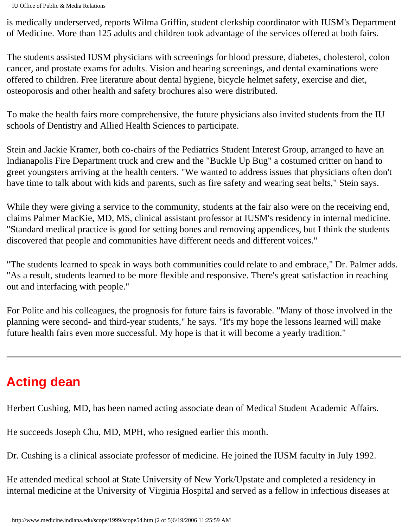IU Office of Public & Media Relations

is medically underserved, reports Wilma Griffin, student clerkship coordinator with IUSM's Department of Medicine. More than 125 adults and children took advantage of the services offered at both fairs.

The students assisted IUSM physicians with screenings for blood pressure, diabetes, cholesterol, colon cancer, and prostate exams for adults. Vision and hearing screenings, and dental examinations were offered to children. Free literature about dental hygiene, bicycle helmet safety, exercise and diet, osteoporosis and other health and safety brochures also were distributed.

To make the health fairs more comprehensive, the future physicians also invited students from the IU schools of Dentistry and Allied Health Sciences to participate.

Stein and Jackie Kramer, both co-chairs of the Pediatrics Student Interest Group, arranged to have an Indianapolis Fire Department truck and crew and the "Buckle Up Bug" a costumed critter on hand to greet youngsters arriving at the health centers. "We wanted to address issues that physicians often don't have time to talk about with kids and parents, such as fire safety and wearing seat belts," Stein says.

While they were giving a service to the community, students at the fair also were on the receiving end, claims Palmer MacKie, MD, MS, clinical assistant professor at IUSM's residency in internal medicine. "Standard medical practice is good for setting bones and removing appendices, but I think the students discovered that people and communities have different needs and different voices."

"The students learned to speak in ways both communities could relate to and embrace," Dr. Palmer adds. "As a result, students learned to be more flexible and responsive. There's great satisfaction in reaching out and interfacing with people."

For Polite and his colleagues, the prognosis for future fairs is favorable. "Many of those involved in the planning were second- and third-year students," he says. "It's my hope the lessons learned will make future health fairs even more successful. My hope is that it will become a yearly tradition."

# **Acting dean**

Herbert Cushing, MD, has been named acting associate dean of Medical Student Academic Affairs.

He succeeds Joseph Chu, MD, MPH, who resigned earlier this month.

Dr. Cushing is a clinical associate professor of medicine. He joined the IUSM faculty in July 1992.

He attended medical school at State University of New York/Upstate and completed a residency in internal medicine at the University of Virginia Hospital and served as a fellow in infectious diseases at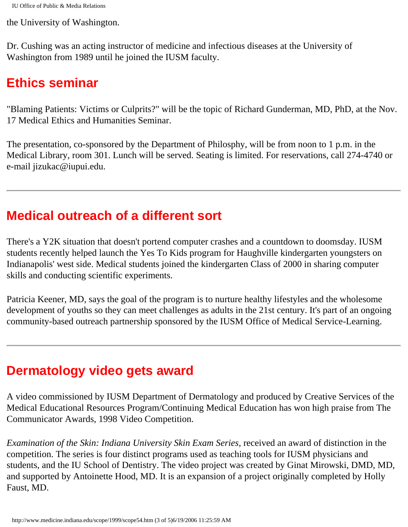the University of Washington.

Dr. Cushing was an acting instructor of medicine and infectious diseases at the University of Washington from 1989 until he joined the IUSM faculty.

#### **Ethics seminar**

"Blaming Patients: Victims or Culprits?" will be the topic of Richard Gunderman, MD, PhD, at the Nov. 17 Medical Ethics and Humanities Seminar.

The presentation, co-sponsored by the Department of Philosphy, will be from noon to 1 p.m. in the Medical Library, room 301. Lunch will be served. Seating is limited. For reservations, call 274-4740 or e-mail jizukac@iupui.edu.

## **Medical outreach of a different sort**

There's a Y2K situation that doesn't portend computer crashes and a countdown to doomsday. IUSM students recently helped launch the Yes To Kids program for Haughville kindergarten youngsters on Indianapolis' west side. Medical students joined the kindergarten Class of 2000 in sharing computer skills and conducting scientific experiments.

Patricia Keener, MD, says the goal of the program is to nurture healthy lifestyles and the wholesome development of youths so they can meet challenges as adults in the 21st century. It's part of an ongoing community-based outreach partnership sponsored by the IUSM Office of Medical Service-Learning.

# **Dermatology video gets award**

A video commissioned by IUSM Department of Dermatology and produced by Creative Services of the Medical Educational Resources Program/Continuing Medical Education has won high praise from The Communicator Awards, 1998 Video Competition.

*Examination of the Skin: Indiana University Skin Exam Series,* received an award of distinction in the competition. The series is four distinct programs used as teaching tools for IUSM physicians and students, and the IU School of Dentistry. The video project was created by Ginat Mirowski, DMD, MD, and supported by Antoinette Hood, MD. It is an expansion of a project originally completed by Holly Faust, MD.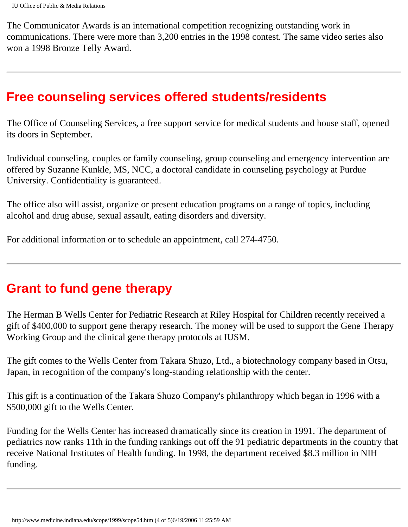The Communicator Awards is an international competition recognizing outstanding work in communications. There were more than 3,200 entries in the 1998 contest. The same video series also won a 1998 Bronze Telly Award.

#### **Free counseling services offered students/residents**

The Office of Counseling Services, a free support service for medical students and house staff, opened its doors in September.

Individual counseling, couples or family counseling, group counseling and emergency intervention are offered by Suzanne Kunkle, MS, NCC, a doctoral candidate in counseling psychology at Purdue University. Confidentiality is guaranteed.

The office also will assist, organize or present education programs on a range of topics, including alcohol and drug abuse, sexual assault, eating disorders and diversity.

For additional information or to schedule an appointment, call 274-4750.

#### **Grant to fund gene therapy**

The Herman B Wells Center for Pediatric Research at Riley Hospital for Children recently received a gift of \$400,000 to support gene therapy research. The money will be used to support the Gene Therapy Working Group and the clinical gene therapy protocols at IUSM.

The gift comes to the Wells Center from Takara Shuzo, Ltd., a biotechnology company based in Otsu, Japan, in recognition of the company's long-standing relationship with the center.

This gift is a continuation of the Takara Shuzo Company's philanthropy which began in 1996 with a \$500,000 gift to the Wells Center.

Funding for the Wells Center has increased dramatically since its creation in 1991. The department of pediatrics now ranks 11th in the funding rankings out off the 91 pediatric departments in the country that receive National Institutes of Health funding. In 1998, the department received \$8.3 million in NIH funding.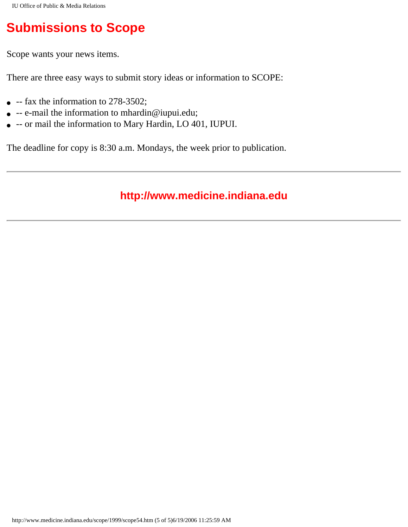# **Submissions to Scope**

Scope wants your news items.

There are three easy ways to submit story ideas or information to SCOPE:

- $\bullet$  -- fax the information to 278-3502;
- -- e-mail the information to mhardin@iupui.edu;
- -- or mail the information to Mary Hardin, LO 401, IUPUI.

The deadline for copy is 8:30 a.m. Mondays, the week prior to publication.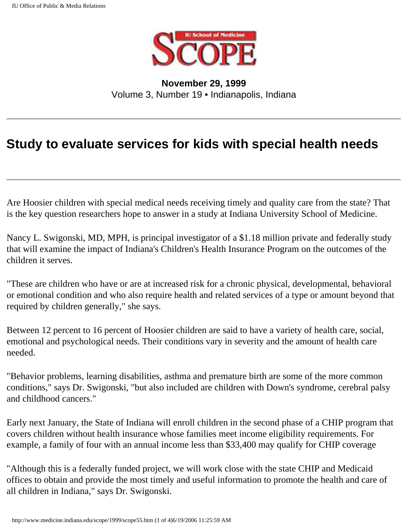

**November 29, 1999** Volume 3, Number 19 • Indianapolis, Indiana

### **Study to evaluate services for kids with special health needs**

Are Hoosier children with special medical needs receiving timely and quality care from the state? That is the key question researchers hope to answer in a study at Indiana University School of Medicine.

Nancy L. Swigonski, MD, MPH, is principal investigator of a \$1.18 million private and federally study that will examine the impact of Indiana's Children's Health Insurance Program on the outcomes of the children it serves.

"These are children who have or are at increased risk for a chronic physical, developmental, behavioral or emotional condition and who also require health and related services of a type or amount beyond that required by children generally," she says.

Between 12 percent to 16 percent of Hoosier children are said to have a variety of health care, social, emotional and psychological needs. Their conditions vary in severity and the amount of health care needed.

"Behavior problems, learning disabilities, asthma and premature birth are some of the more common conditions," says Dr. Swigonski, "but also included are children with Down's syndrome, cerebral palsy and childhood cancers."

Early next January, the State of Indiana will enroll children in the second phase of a CHIP program that covers children without health insurance whose families meet income eligibility requirements. For example, a family of four with an annual income less than \$33,400 may qualify for CHIP coverage

"Although this is a federally funded project, we will work close with the state CHIP and Medicaid offices to obtain and provide the most timely and useful information to promote the health and care of all children in Indiana," says Dr. Swigonski.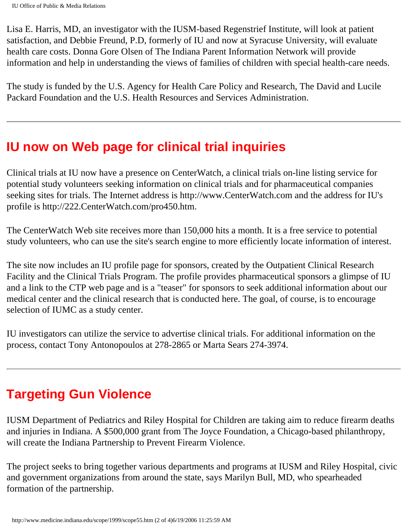Lisa E. Harris, MD, an investigator with the IUSM-based Regenstrief Institute, will look at patient satisfaction, and Debbie Freund, P.D, formerly of IU and now at Syracuse University, will evaluate health care costs. Donna Gore Olsen of The Indiana Parent Information Network will provide information and help in understanding the views of families of children with special health-care needs.

The study is funded by the U.S. Agency for Health Care Policy and Research, The David and Lucile Packard Foundation and the U.S. Health Resources and Services Administration.

### **IU now on Web page for clinical trial inquiries**

Clinical trials at IU now have a presence on CenterWatch, a clinical trials on-line listing service for potential study volunteers seeking information on clinical trials and for pharmaceutical companies seeking sites for trials. The Internet address is http://www.CenterWatch.com and the address for IU's profile is http://222.CenterWatch.com/pro450.htm.

The CenterWatch Web site receives more than 150,000 hits a month. It is a free service to potential study volunteers, who can use the site's search engine to more efficiently locate information of interest.

The site now includes an IU profile page for sponsors, created by the Outpatient Clinical Research Facility and the Clinical Trials Program. The profile provides pharmaceutical sponsors a glimpse of IU and a link to the CTP web page and is a "teaser" for sponsors to seek additional information about our medical center and the clinical research that is conducted here. The goal, of course, is to encourage selection of IUMC as a study center.

IU investigators can utilize the service to advertise clinical trials. For additional information on the process, contact Tony Antonopoulos at 278-2865 or Marta Sears 274-3974.

# **Targeting Gun Violence**

IUSM Department of Pediatrics and Riley Hospital for Children are taking aim to reduce firearm deaths and injuries in Indiana. A \$500,000 grant from The Joyce Foundation, a Chicago-based philanthropy, will create the Indiana Partnership to Prevent Firearm Violence.

The project seeks to bring together various departments and programs at IUSM and Riley Hospital, civic and government organizations from around the state, says Marilyn Bull, MD, who spearheaded formation of the partnership.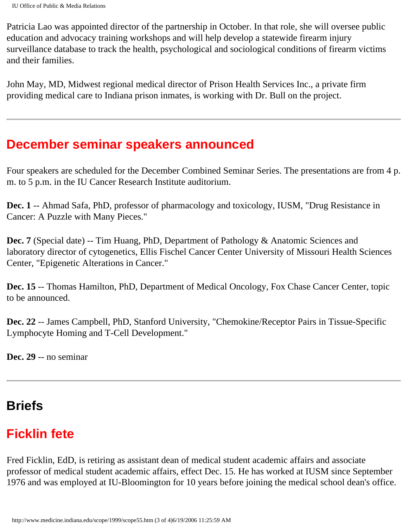Patricia Lao was appointed director of the partnership in October. In that role, she will oversee public education and advocacy training workshops and will help develop a statewide firearm injury surveillance database to track the health, psychological and sociological conditions of firearm victims and their families.

John May, MD, Midwest regional medical director of Prison Health Services Inc., a private firm providing medical care to Indiana prison inmates, is working with Dr. Bull on the project.

#### **December seminar speakers announced**

Four speakers are scheduled for the December Combined Seminar Series. The presentations are from 4 p. m. to 5 p.m. in the IU Cancer Research Institute auditorium.

**Dec. 1** -- Ahmad Safa, PhD, professor of pharmacology and toxicology, IUSM, "Drug Resistance in Cancer: A Puzzle with Many Pieces."

**Dec. 7** (Special date) -- Tim Huang, PhD, Department of Pathology & Anatomic Sciences and laboratory director of cytogenetics, Ellis Fischel Cancer Center University of Missouri Health Sciences Center, "Epigenetic Alterations in Cancer."

**Dec. 15** -- Thomas Hamilton, PhD, Department of Medical Oncology, Fox Chase Cancer Center, topic to be announced.

**Dec. 22** -- James Campbell, PhD, Stanford University, "Chemokine/Receptor Pairs in Tissue-Specific Lymphocyte Homing and T-Cell Development."

**Dec. 29** -- no seminar

# **Briefs**

# **Ficklin fete**

Fred Ficklin, EdD, is retiring as assistant dean of medical student academic affairs and associate professor of medical student academic affairs, effect Dec. 15. He has worked at IUSM since September 1976 and was employed at IU-Bloomington for 10 years before joining the medical school dean's office.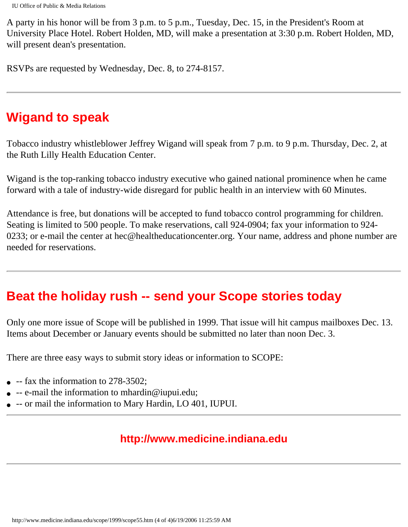A party in his honor will be from 3 p.m. to 5 p.m., Tuesday, Dec. 15, in the President's Room at University Place Hotel. Robert Holden, MD, will make a presentation at 3:30 p.m. Robert Holden, MD, will present dean's presentation.

RSVPs are requested by Wednesday, Dec. 8, to 274-8157.

### **Wigand to speak**

Tobacco industry whistleblower Jeffrey Wigand will speak from 7 p.m. to 9 p.m. Thursday, Dec. 2, at the Ruth Lilly Health Education Center.

Wigand is the top-ranking tobacco industry executive who gained national prominence when he came forward with a tale of industry-wide disregard for public health in an interview with 60 Minutes.

Attendance is free, but donations will be accepted to fund tobacco control programming for children. Seating is limited to 500 people. To make reservations, call 924-0904; fax your information to 924- 0233; or e-mail the center at hec@healtheducationcenter.org. Your name, address and phone number are needed for reservations.

### **Beat the holiday rush -- send your Scope stories today**

Only one more issue of Scope will be published in 1999. That issue will hit campus mailboxes Dec. 13. Items about December or January events should be submitted no later than noon Dec. 3.

There are three easy ways to submit story ideas or information to SCOPE:

- $\bullet$  -- fax the information to 278-3502;
- $\bullet$  -- e-mail the information to mhardin@iupui.edu;
- -- or mail the information to Mary Hardin, LO 401, IUPUI.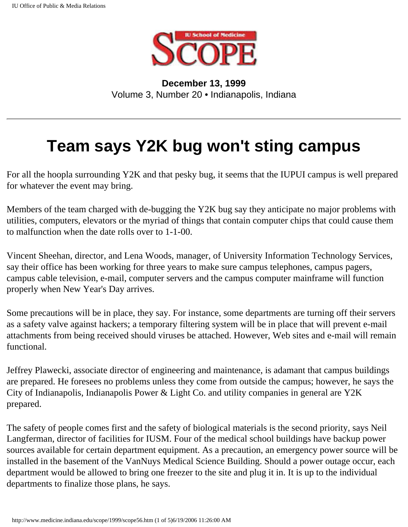

**December 13, 1999** Volume 3, Number 20 • Indianapolis, Indiana

# **Team says Y2K bug won't sting campus**

For all the hoopla surrounding Y2K and that pesky bug, it seems that the IUPUI campus is well prepared for whatever the event may bring.

Members of the team charged with de-bugging the Y2K bug say they anticipate no major problems with utilities, computers, elevators or the myriad of things that contain computer chips that could cause them to malfunction when the date rolls over to 1-1-00.

Vincent Sheehan, director, and Lena Woods, manager, of University Information Technology Services, say their office has been working for three years to make sure campus telephones, campus pagers, campus cable television, e-mail, computer servers and the campus computer mainframe will function properly when New Year's Day arrives.

Some precautions will be in place, they say. For instance, some departments are turning off their servers as a safety valve against hackers; a temporary filtering system will be in place that will prevent e-mail attachments from being received should viruses be attached. However, Web sites and e-mail will remain functional.

Jeffrey Plawecki, associate director of engineering and maintenance, is adamant that campus buildings are prepared. He foresees no problems unless they come from outside the campus; however, he says the City of Indianapolis, Indianapolis Power & Light Co. and utility companies in general are Y2K prepared.

The safety of people comes first and the safety of biological materials is the second priority, says Neil Langferman, director of facilities for IUSM. Four of the medical school buildings have backup power sources available for certain department equipment. As a precaution, an emergency power source will be installed in the basement of the VanNuys Medical Science Building. Should a power outage occur, each department would be allowed to bring one freezer to the site and plug it in. It is up to the individual departments to finalize those plans, he says.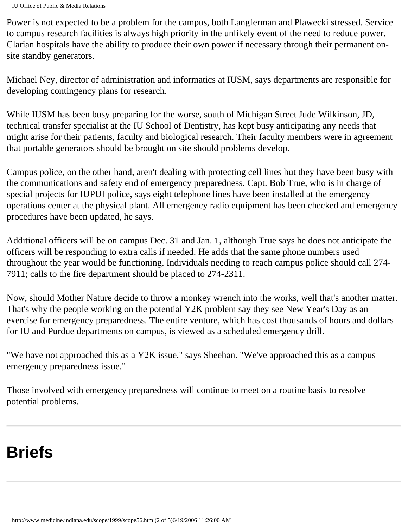Power is not expected to be a problem for the campus, both Langferman and Plawecki stressed. Service to campus research facilities is always high priority in the unlikely event of the need to reduce power. Clarian hospitals have the ability to produce their own power if necessary through their permanent onsite standby generators.

Michael Ney, director of administration and informatics at IUSM, says departments are responsible for developing contingency plans for research.

While IUSM has been busy preparing for the worse, south of Michigan Street Jude Wilkinson, JD, technical transfer specialist at the IU School of Dentistry, has kept busy anticipating any needs that might arise for their patients, faculty and biological research. Their faculty members were in agreement that portable generators should be brought on site should problems develop.

Campus police, on the other hand, aren't dealing with protecting cell lines but they have been busy with the communications and safety end of emergency preparedness. Capt. Bob True, who is in charge of special projects for IUPUI police, says eight telephone lines have been installed at the emergency operations center at the physical plant. All emergency radio equipment has been checked and emergency procedures have been updated, he says.

Additional officers will be on campus Dec. 31 and Jan. 1, although True says he does not anticipate the officers will be responding to extra calls if needed. He adds that the same phone numbers used throughout the year would be functioning. Individuals needing to reach campus police should call 274- 7911; calls to the fire department should be placed to 274-2311.

Now, should Mother Nature decide to throw a monkey wrench into the works, well that's another matter. That's why the people working on the potential Y2K problem say they see New Year's Day as an exercise for emergency preparedness. The entire venture, which has cost thousands of hours and dollars for IU and Purdue departments on campus, is viewed as a scheduled emergency drill.

"We have not approached this as a Y2K issue," says Sheehan. "We've approached this as a campus emergency preparedness issue."

Those involved with emergency preparedness will continue to meet on a routine basis to resolve potential problems.

# **Briefs**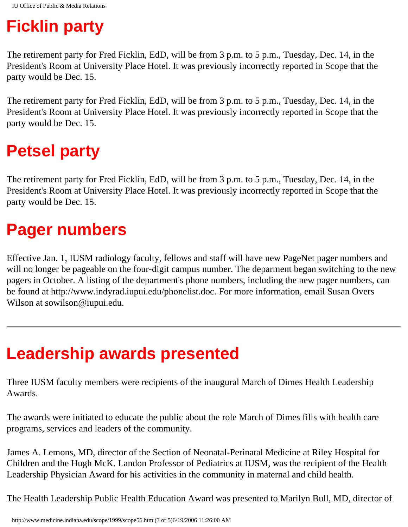# **Ficklin party**

The retirement party for Fred Ficklin, EdD, will be from 3 p.m. to 5 p.m., Tuesday, Dec. 14, in the President's Room at University Place Hotel. It was previously incorrectly reported in Scope that the party would be Dec. 15.

The retirement party for Fred Ficklin, EdD, will be from 3 p.m. to 5 p.m., Tuesday, Dec. 14, in the President's Room at University Place Hotel. It was previously incorrectly reported in Scope that the party would be Dec. 15.

# **Petsel party**

The retirement party for Fred Ficklin, EdD, will be from 3 p.m. to 5 p.m., Tuesday, Dec. 14, in the President's Room at University Place Hotel. It was previously incorrectly reported in Scope that the party would be Dec. 15.

# **Pager numbers**

Effective Jan. 1, IUSM radiology faculty, fellows and staff will have new PageNet pager numbers and will no longer be pageable on the four-digit campus number. The deparment began switching to the new pagers in October. A listing of the department's phone numbers, including the new pager numbers, can be found at http://www.indyrad.iupui.edu/phonelist.doc. For more information, email Susan Overs Wilson at sowilson@iupui.edu.

# **Leadership awards presented**

Three IUSM faculty members were recipients of the inaugural March of Dimes Health Leadership Awards.

The awards were initiated to educate the public about the role March of Dimes fills with health care programs, services and leaders of the community.

James A. Lemons, MD, director of the Section of Neonatal-Perinatal Medicine at Riley Hospital for Children and the Hugh McK. Landon Professor of Pediatrics at IUSM, was the recipient of the Health Leadership Physician Award for his activities in the community in maternal and child health.

The Health Leadership Public Health Education Award was presented to Marilyn Bull, MD, director of